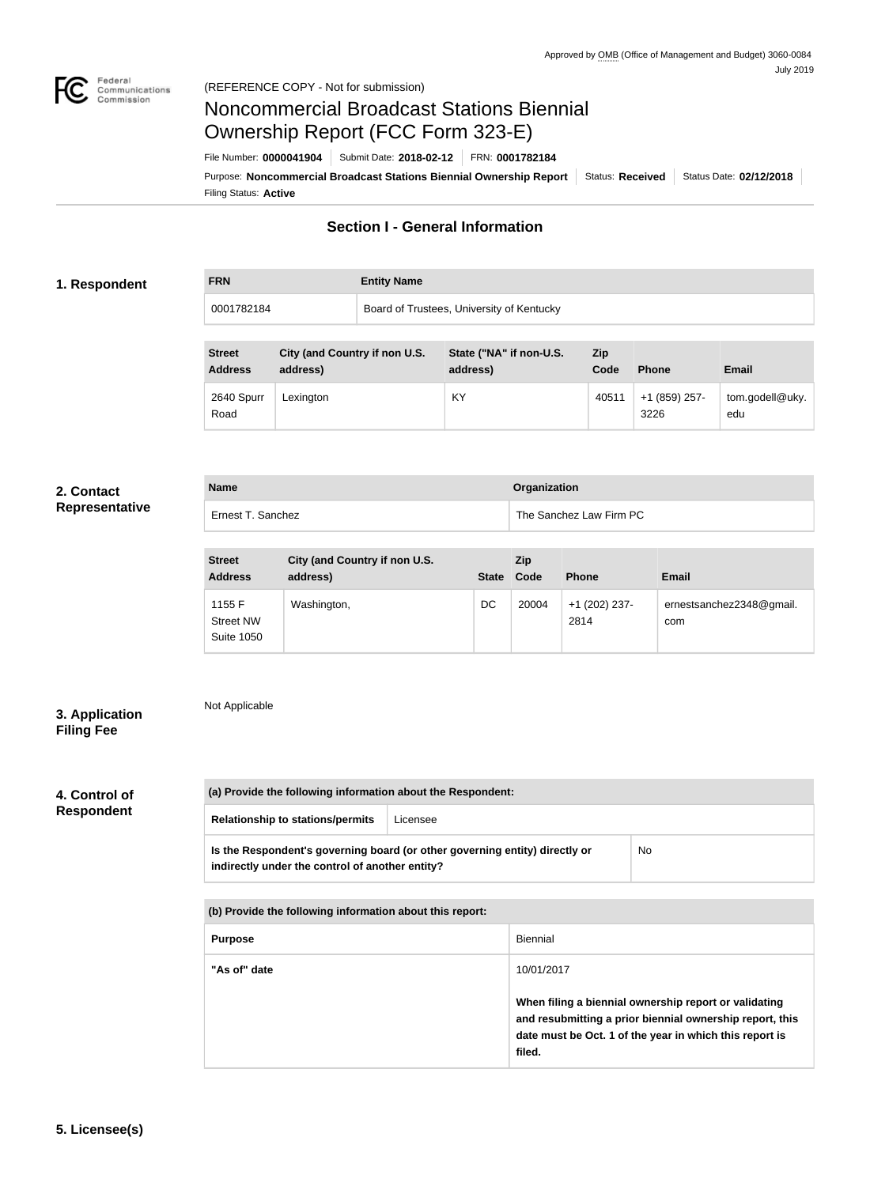

# Noncommercial Broadcast Stations Biennial Ownership Report (FCC Form 323-E)

**Name Organization**

Filing Status: **Active** Purpose: Noncommercial Broadcast Stations Biennial Ownership Report | Status: Received | Status Date: 02/12/2018 File Number: **0000041904** Submit Date: **2018-02-12** FRN: **0001782184**

# **Section I - General Information**

# **1. Respondent**

# **FRN Entity Name** 0001782184 Board of Trustees, University of Kentucky

| <b>Street</b><br><b>Address</b> | City (and Country if non U.S.<br>address) | State ("NA" if non-U.S.<br>address) | <b>Zip</b><br>Code | <b>Phone</b>          | <b>Email</b>           |
|---------------------------------|-------------------------------------------|-------------------------------------|--------------------|-----------------------|------------------------|
| 2640 Spurr<br>Road              | Lexington                                 | KY                                  | 40511              | +1 (859) 257-<br>3226 | tom.godell@uky.<br>edu |

## **2. Contact Repr**

| esentative <sup>.</sup> | Ernest T. Sanchez |
|-------------------------|-------------------|

| <b>Street</b><br><b>Address</b>                 | City (and Country if non U.S.<br>address) | <b>State</b> | <b>Zip</b><br>Code | <b>Phone</b>          | <b>Email</b>                    |
|-------------------------------------------------|-------------------------------------------|--------------|--------------------|-----------------------|---------------------------------|
| 1155 F<br><b>Street NW</b><br><b>Suite 1050</b> | Washington,                               | DC           | 20004              | +1 (202) 237-<br>2814 | ernestsanchez2348@gmail.<br>com |

The Sanchez Law Firm PC

# **3. Application Filing Fee**

# Not Applicable

# **4. Control of Respondent**

| (a) Provide the following information about the Respondent:                                                                    |          |    |  |  |
|--------------------------------------------------------------------------------------------------------------------------------|----------|----|--|--|
| <b>Relationship to stations/permits</b>                                                                                        | Licensee |    |  |  |
| Is the Respondent's governing board (or other governing entity) directly or<br>indirectly under the control of another entity? |          | No |  |  |

| (b) Provide the following information about this report: |                                                                                                                                                                                        |  |  |
|----------------------------------------------------------|----------------------------------------------------------------------------------------------------------------------------------------------------------------------------------------|--|--|
| <b>Purpose</b>                                           | Biennial                                                                                                                                                                               |  |  |
| "As of" date                                             | 10/01/2017                                                                                                                                                                             |  |  |
|                                                          | When filing a biennial ownership report or validating<br>and resubmitting a prior biennial ownership report, this<br>date must be Oct. 1 of the year in which this report is<br>filed. |  |  |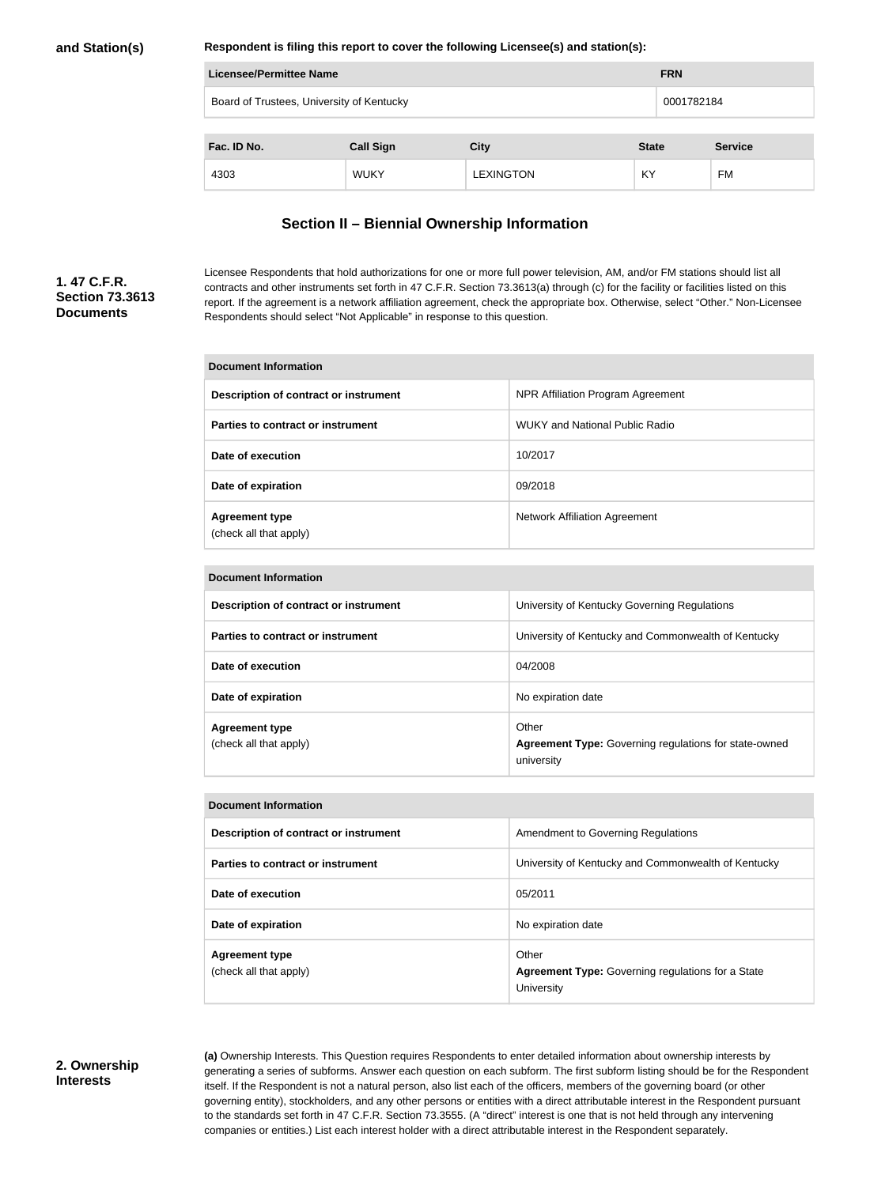### **Respondent is filing this report to cover the following Licensee(s) and station(s):**

| <b>Licensee/Permittee Name</b>            | <b>FRN</b>       |                  |              |                |
|-------------------------------------------|------------------|------------------|--------------|----------------|
| Board of Trustees, University of Kentucky | 0001782184       |                  |              |                |
|                                           |                  |                  |              |                |
| Fac. ID No.                               | <b>Call Sign</b> | <b>City</b>      | <b>State</b> | <b>Service</b> |
| 4303                                      | <b>WUKY</b>      | <b>LEXINGTON</b> | KY           | FM             |

# **Section II – Biennial Ownership Information**

# **1. 47 C.F.R. Section 73.3613 Documents**

Licensee Respondents that hold authorizations for one or more full power television, AM, and/or FM stations should list all contracts and other instruments set forth in 47 C.F.R. Section 73.3613(a) through (c) for the facility or facilities listed on this report. If the agreement is a network affiliation agreement, check the appropriate box. Otherwise, select "Other." Non-Licensee Respondents should select "Not Applicable" in response to this question.

| Document Information                            |                                       |  |  |
|-------------------------------------------------|---------------------------------------|--|--|
| Description of contract or instrument           | NPR Affiliation Program Agreement     |  |  |
| Parties to contract or instrument               | <b>WUKY and National Public Radio</b> |  |  |
| Date of execution                               | 10/2017                               |  |  |
| Date of expiration                              | 09/2018                               |  |  |
| <b>Agreement type</b><br>(check all that apply) | Network Affiliation Agreement         |  |  |

| Document Information                            |                                                                                     |  |  |
|-------------------------------------------------|-------------------------------------------------------------------------------------|--|--|
| Description of contract or instrument           | University of Kentucky Governing Regulations                                        |  |  |
| Parties to contract or instrument               | University of Kentucky and Commonwealth of Kentucky                                 |  |  |
| Date of execution                               | 04/2008                                                                             |  |  |
| Date of expiration                              | No expiration date                                                                  |  |  |
| <b>Agreement type</b><br>(check all that apply) | Other<br><b>Agreement Type: Governing regulations for state-owned</b><br>university |  |  |

| <b>Document Information</b>                     |                                                                                 |  |  |
|-------------------------------------------------|---------------------------------------------------------------------------------|--|--|
| Description of contract or instrument           | Amendment to Governing Regulations                                              |  |  |
| Parties to contract or instrument               | University of Kentucky and Commonwealth of Kentucky                             |  |  |
| Date of execution                               | 05/2011                                                                         |  |  |
| Date of expiration                              | No expiration date                                                              |  |  |
| <b>Agreement type</b><br>(check all that apply) | Other<br><b>Agreement Type:</b> Governing regulations for a State<br>University |  |  |

# **2. Ownership Interests**

**(a)** Ownership Interests. This Question requires Respondents to enter detailed information about ownership interests by generating a series of subforms. Answer each question on each subform. The first subform listing should be for the Respondent itself. If the Respondent is not a natural person, also list each of the officers, members of the governing board (or other governing entity), stockholders, and any other persons or entities with a direct attributable interest in the Respondent pursuant to the standards set forth in 47 C.F.R. Section 73.3555. (A "direct" interest is one that is not held through any intervening companies or entities.) List each interest holder with a direct attributable interest in the Respondent separately.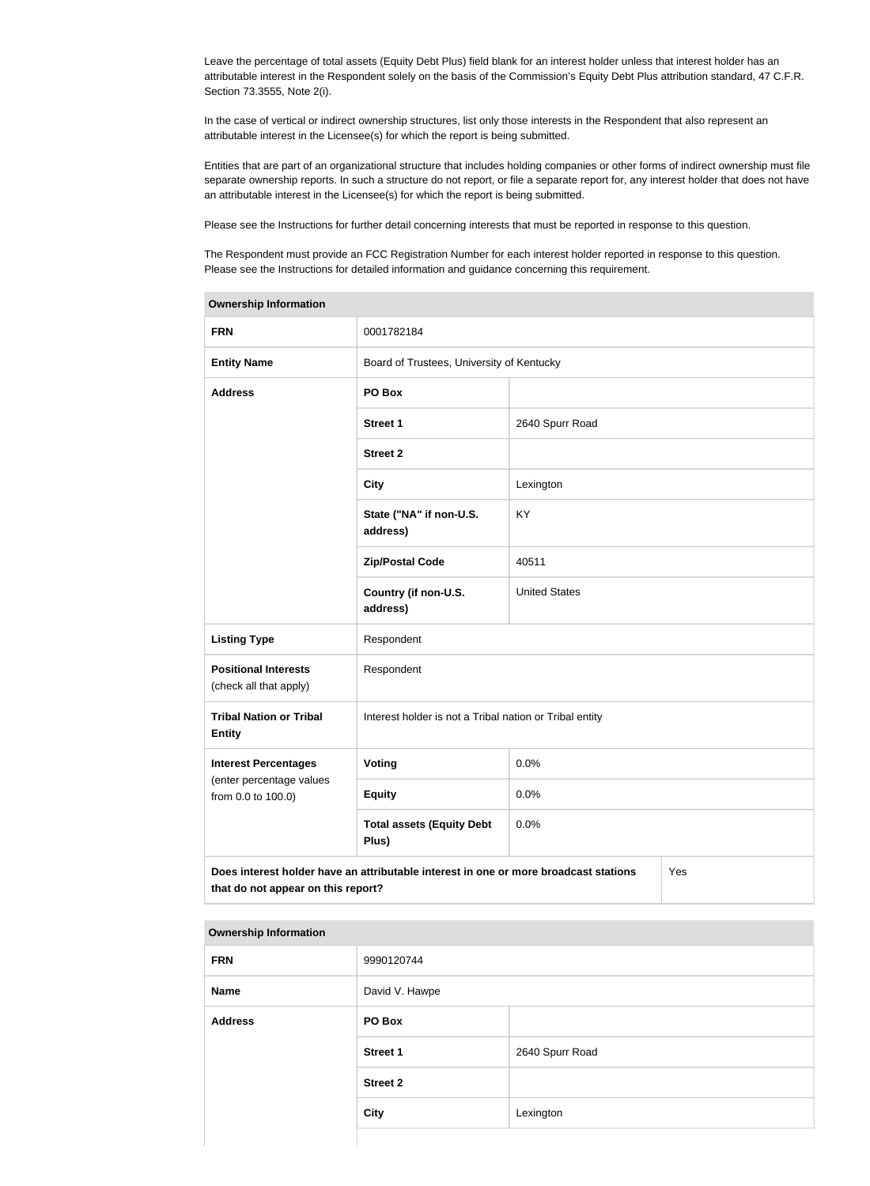Leave the percentage of total assets (Equity Debt Plus) field blank for an interest holder unless that interest holder has an attributable interest in the Respondent solely on the basis of the Commission's Equity Debt Plus attribution standard, 47 C.F.R. Section 73.3555, Note 2(i).

In the case of vertical or indirect ownership structures, list only those interests in the Respondent that also represent an attributable interest in the Licensee(s) for which the report is being submitted.

Entities that are part of an organizational structure that includes holding companies or other forms of indirect ownership must file separate ownership reports. In such a structure do not report, or file a separate report for, any interest holder that does not have an attributable interest in the Licensee(s) for which the report is being submitted.

Please see the Instructions for further detail concerning interests that must be reported in response to this question.

The Respondent must provide an FCC Registration Number for each interest holder reported in response to this question. Please see the Instructions for detailed information and guidance concerning this requirement.

| <b>Ownership Information</b>                                                                                                      |                                                         |                      |  |  |
|-----------------------------------------------------------------------------------------------------------------------------------|---------------------------------------------------------|----------------------|--|--|
| <b>FRN</b>                                                                                                                        | 0001782184                                              |                      |  |  |
| <b>Entity Name</b>                                                                                                                | Board of Trustees, University of Kentucky               |                      |  |  |
| <b>Address</b>                                                                                                                    | PO Box                                                  |                      |  |  |
|                                                                                                                                   | <b>Street 1</b>                                         | 2640 Spurr Road      |  |  |
|                                                                                                                                   | <b>Street 2</b>                                         |                      |  |  |
|                                                                                                                                   | <b>City</b>                                             | Lexington            |  |  |
|                                                                                                                                   | State ("NA" if non-U.S.<br>address)                     | <b>KY</b>            |  |  |
|                                                                                                                                   | <b>Zip/Postal Code</b>                                  | 40511                |  |  |
|                                                                                                                                   | Country (if non-U.S.<br>address)                        | <b>United States</b> |  |  |
| <b>Listing Type</b>                                                                                                               | Respondent                                              |                      |  |  |
| <b>Positional Interests</b><br>(check all that apply)                                                                             | Respondent                                              |                      |  |  |
| <b>Tribal Nation or Tribal</b><br><b>Entity</b>                                                                                   | Interest holder is not a Tribal nation or Tribal entity |                      |  |  |
| <b>Interest Percentages</b>                                                                                                       | Voting                                                  | 0.0%                 |  |  |
| (enter percentage values<br>from 0.0 to 100.0)                                                                                    | <b>Equity</b>                                           | 0.0%                 |  |  |
|                                                                                                                                   | <b>Total assets (Equity Debt</b><br>Plus)               | 0.0%                 |  |  |
| Does interest holder have an attributable interest in one or more broadcast stations<br>Yes<br>that do not appear on this report? |                                                         |                      |  |  |

| <b>FRN</b>     | 9990120744      |                 |  |
|----------------|-----------------|-----------------|--|
| <b>Name</b>    | David V. Hawpe  |                 |  |
| <b>Address</b> | PO Box          |                 |  |
|                | <b>Street 1</b> | 2640 Spurr Road |  |
|                | <b>Street 2</b> |                 |  |
|                | <b>City</b>     | Lexington       |  |
|                |                 |                 |  |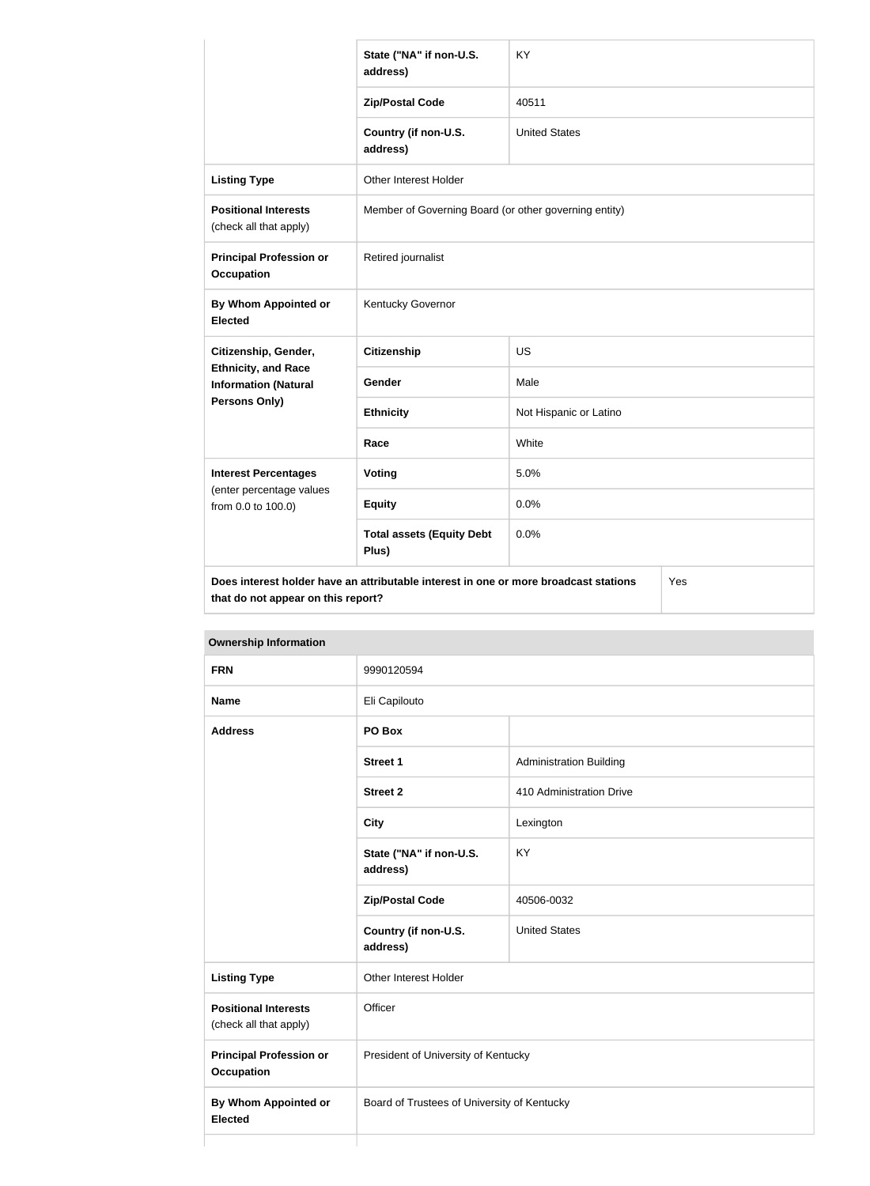|                                                           | State ("NA" if non-U.S.<br>address)                                                                                               | <b>KY</b>              |  |  |
|-----------------------------------------------------------|-----------------------------------------------------------------------------------------------------------------------------------|------------------------|--|--|
|                                                           | <b>Zip/Postal Code</b>                                                                                                            | 40511                  |  |  |
|                                                           | Country (if non-U.S.<br>address)                                                                                                  | <b>United States</b>   |  |  |
| <b>Listing Type</b>                                       | Other Interest Holder                                                                                                             |                        |  |  |
| <b>Positional Interests</b><br>(check all that apply)     | Member of Governing Board (or other governing entity)                                                                             |                        |  |  |
| <b>Principal Profession or</b><br><b>Occupation</b>       | Retired journalist                                                                                                                |                        |  |  |
| By Whom Appointed or<br><b>Elected</b>                    | Kentucky Governor                                                                                                                 |                        |  |  |
| Citizenship, Gender,                                      | <b>Citizenship</b>                                                                                                                | <b>US</b>              |  |  |
| <b>Ethnicity, and Race</b><br><b>Information (Natural</b> | <b>Gender</b>                                                                                                                     | Male                   |  |  |
| Persons Only)                                             | <b>Ethnicity</b>                                                                                                                  | Not Hispanic or Latino |  |  |
|                                                           | Race                                                                                                                              | White                  |  |  |
| <b>Interest Percentages</b>                               | <b>Voting</b>                                                                                                                     | 5.0%                   |  |  |
| (enter percentage values<br>from 0.0 to 100.0)            | <b>Equity</b>                                                                                                                     | 0.0%                   |  |  |
|                                                           | <b>Total assets (Equity Debt</b><br>Plus)                                                                                         | 0.0%                   |  |  |
|                                                           | Does interest holder have an attributable interest in one or more broadcast stations<br>Yes<br>that do not appear on this report? |                        |  |  |

**Ownership Information FRN** 9990120594 **Name** Eli Capilouto **Address PO Box Street 1** Administration Building **Street 2** 410 Administration Drive **City** Lexington **State ("NA" if non-U.S. address)** KY **Zip/Postal Code** 40506-0032 **Country (if non-U.S. address)** United States **Listing Type Communist Communist Property** Other Interest Holder **Positional Interests** (check all that apply) **Officer Principal Profession or Occupation** President of University of Kentucky **By Whom Appointed or Elected** Board of Trustees of University of Kentucky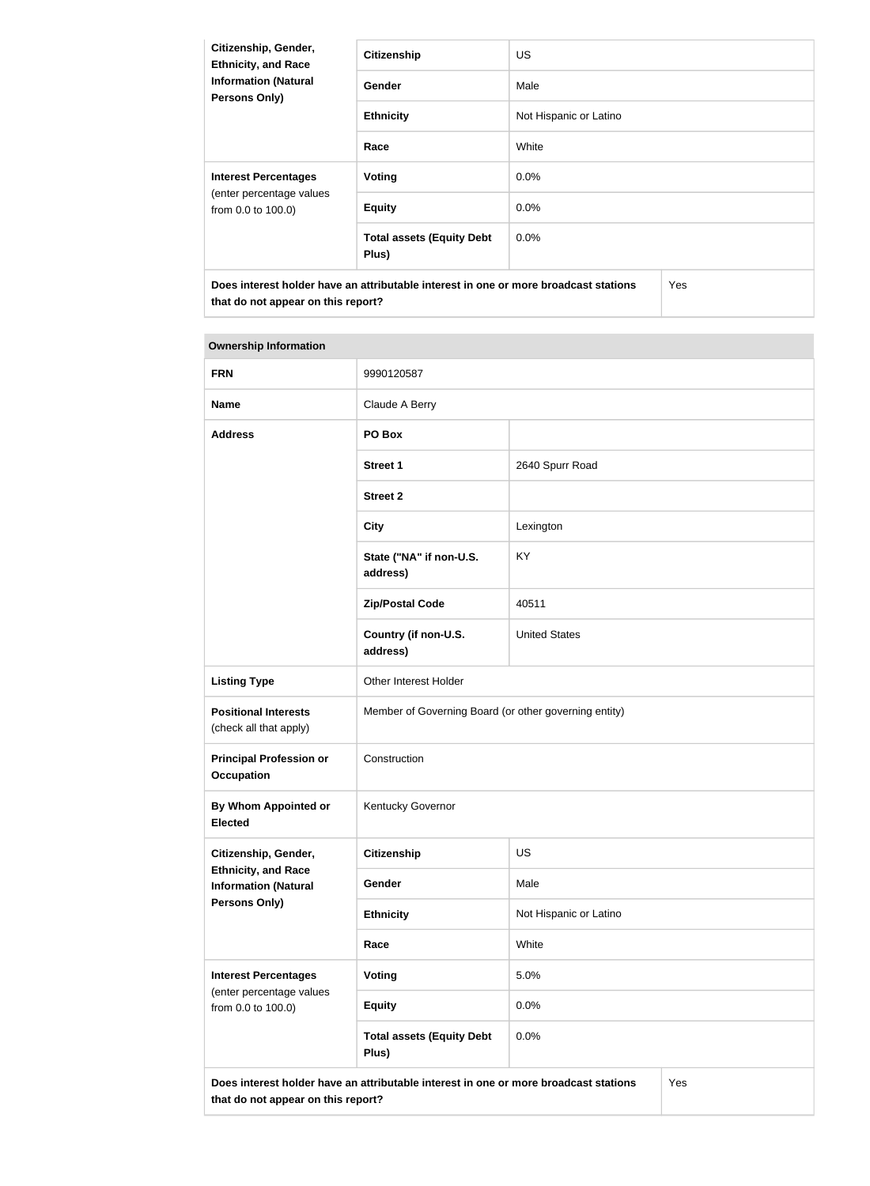| Citizenship, Gender,<br><b>Ethnicity, and Race</b><br><b>Information (Natural</b><br><b>Persons Only)</b> | <b>Citizenship</b>                        | <b>US</b>              |     |
|-----------------------------------------------------------------------------------------------------------|-------------------------------------------|------------------------|-----|
|                                                                                                           | Gender                                    | Male                   |     |
|                                                                                                           | <b>Ethnicity</b>                          | Not Hispanic or Latino |     |
|                                                                                                           | Race                                      | White                  |     |
| <b>Interest Percentages</b><br>(enter percentage values<br>from 0.0 to 100.0)                             | Voting                                    | $0.0\%$                |     |
|                                                                                                           | <b>Equity</b>                             | $0.0\%$                |     |
|                                                                                                           | <b>Total assets (Equity Debt</b><br>Plus) | 0.0%                   |     |
| Does interest holder have an attributable interest in one or more broadcast stations                      |                                           |                        | Yes |

| <b>FRN</b>                                                                                                                        | 9990120587                                            |                        |  |
|-----------------------------------------------------------------------------------------------------------------------------------|-------------------------------------------------------|------------------------|--|
| <b>Name</b>                                                                                                                       | Claude A Berry                                        |                        |  |
| <b>Address</b>                                                                                                                    | PO Box                                                |                        |  |
|                                                                                                                                   | <b>Street 1</b>                                       | 2640 Spurr Road        |  |
|                                                                                                                                   | <b>Street 2</b>                                       |                        |  |
|                                                                                                                                   | <b>City</b>                                           | Lexington              |  |
|                                                                                                                                   | State ("NA" if non-U.S.<br>address)                   | KY                     |  |
|                                                                                                                                   | <b>Zip/Postal Code</b>                                | 40511                  |  |
|                                                                                                                                   | Country (if non-U.S.<br>address)                      | <b>United States</b>   |  |
| <b>Listing Type</b>                                                                                                               | Other Interest Holder                                 |                        |  |
| <b>Positional Interests</b><br>(check all that apply)                                                                             | Member of Governing Board (or other governing entity) |                        |  |
| <b>Principal Profession or</b><br><b>Occupation</b>                                                                               | Construction                                          |                        |  |
| By Whom Appointed or<br><b>Elected</b>                                                                                            | Kentucky Governor                                     |                        |  |
| Citizenship, Gender,                                                                                                              | <b>Citizenship</b>                                    | US                     |  |
| <b>Ethnicity, and Race</b><br><b>Information (Natural</b>                                                                         | Gender                                                | Male                   |  |
| <b>Persons Only)</b>                                                                                                              | <b>Ethnicity</b>                                      | Not Hispanic or Latino |  |
|                                                                                                                                   | Race                                                  | White                  |  |
| <b>Interest Percentages</b><br>(enter percentage values<br>from 0.0 to 100.0)                                                     | Voting                                                | 5.0%                   |  |
|                                                                                                                                   | <b>Equity</b>                                         | 0.0%                   |  |
|                                                                                                                                   | <b>Total assets (Equity Debt</b><br>Plus)             | 0.0%                   |  |
| Does interest holder have an attributable interest in one or more broadcast stations<br>Yes<br>that do not appear on this report? |                                                       |                        |  |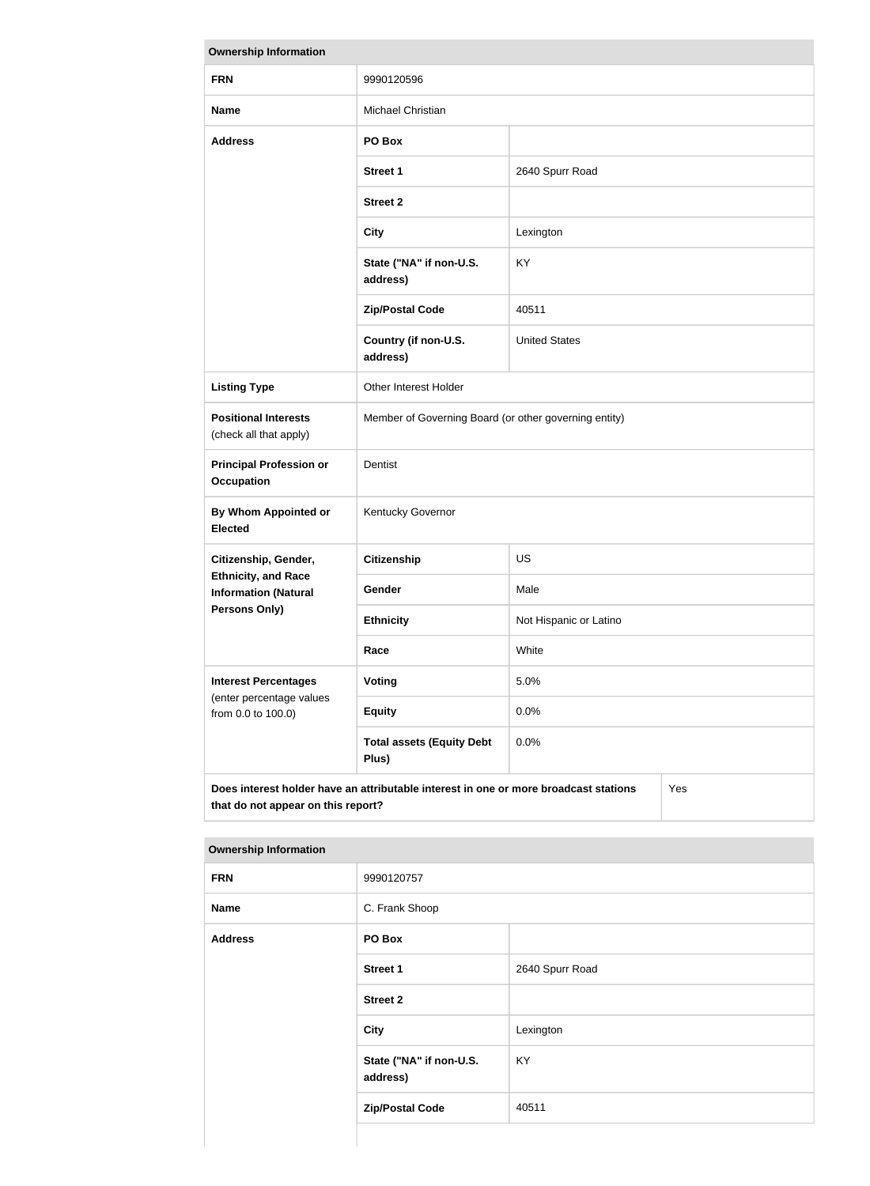| <b>Ownership Information</b>                                                                                                      |                                                       |                        |  |
|-----------------------------------------------------------------------------------------------------------------------------------|-------------------------------------------------------|------------------------|--|
| <b>FRN</b>                                                                                                                        | 9990120596                                            |                        |  |
| <b>Name</b>                                                                                                                       | Michael Christian                                     |                        |  |
| <b>Address</b>                                                                                                                    | PO Box                                                |                        |  |
|                                                                                                                                   | <b>Street 1</b>                                       | 2640 Spurr Road        |  |
|                                                                                                                                   | <b>Street 2</b>                                       |                        |  |
|                                                                                                                                   | <b>City</b>                                           | Lexington              |  |
|                                                                                                                                   | State ("NA" if non-U.S.<br>address)                   | KY                     |  |
|                                                                                                                                   | <b>Zip/Postal Code</b>                                | 40511                  |  |
|                                                                                                                                   | Country (if non-U.S.<br>address)                      | <b>United States</b>   |  |
| <b>Listing Type</b>                                                                                                               | Other Interest Holder                                 |                        |  |
| <b>Positional Interests</b><br>(check all that apply)                                                                             | Member of Governing Board (or other governing entity) |                        |  |
| <b>Principal Profession or</b><br><b>Occupation</b>                                                                               | Dentist                                               |                        |  |
| <b>By Whom Appointed or</b><br><b>Elected</b>                                                                                     | Kentucky Governor                                     |                        |  |
| Citizenship, Gender,                                                                                                              | <b>Citizenship</b>                                    | <b>US</b>              |  |
| <b>Ethnicity, and Race</b><br><b>Information (Natural</b>                                                                         | Gender                                                | Male                   |  |
| Persons Only)                                                                                                                     | <b>Ethnicity</b>                                      | Not Hispanic or Latino |  |
|                                                                                                                                   | Race                                                  | White                  |  |
| <b>Interest Percentages</b><br>(enter percentage values<br>from 0.0 to 100.0)                                                     | <b>Voting</b>                                         | 5.0%                   |  |
|                                                                                                                                   | <b>Equity</b>                                         | 0.0%                   |  |
|                                                                                                                                   | <b>Total assets (Equity Debt</b><br>Plus)             | 0.0%                   |  |
| Does interest holder have an attributable interest in one or more broadcast stations<br>Yes<br>that do not appear on this report? |                                                       |                        |  |

| <b>FRN</b>     | 9990120757                          |                 |  |
|----------------|-------------------------------------|-----------------|--|
| <b>Name</b>    | C. Frank Shoop                      |                 |  |
| <b>Address</b> | PO Box                              |                 |  |
|                | <b>Street 1</b>                     | 2640 Spurr Road |  |
|                | <b>Street 2</b>                     |                 |  |
|                | <b>City</b>                         | Lexington       |  |
|                | State ("NA" if non-U.S.<br>address) | KY              |  |
|                | <b>Zip/Postal Code</b>              | 40511           |  |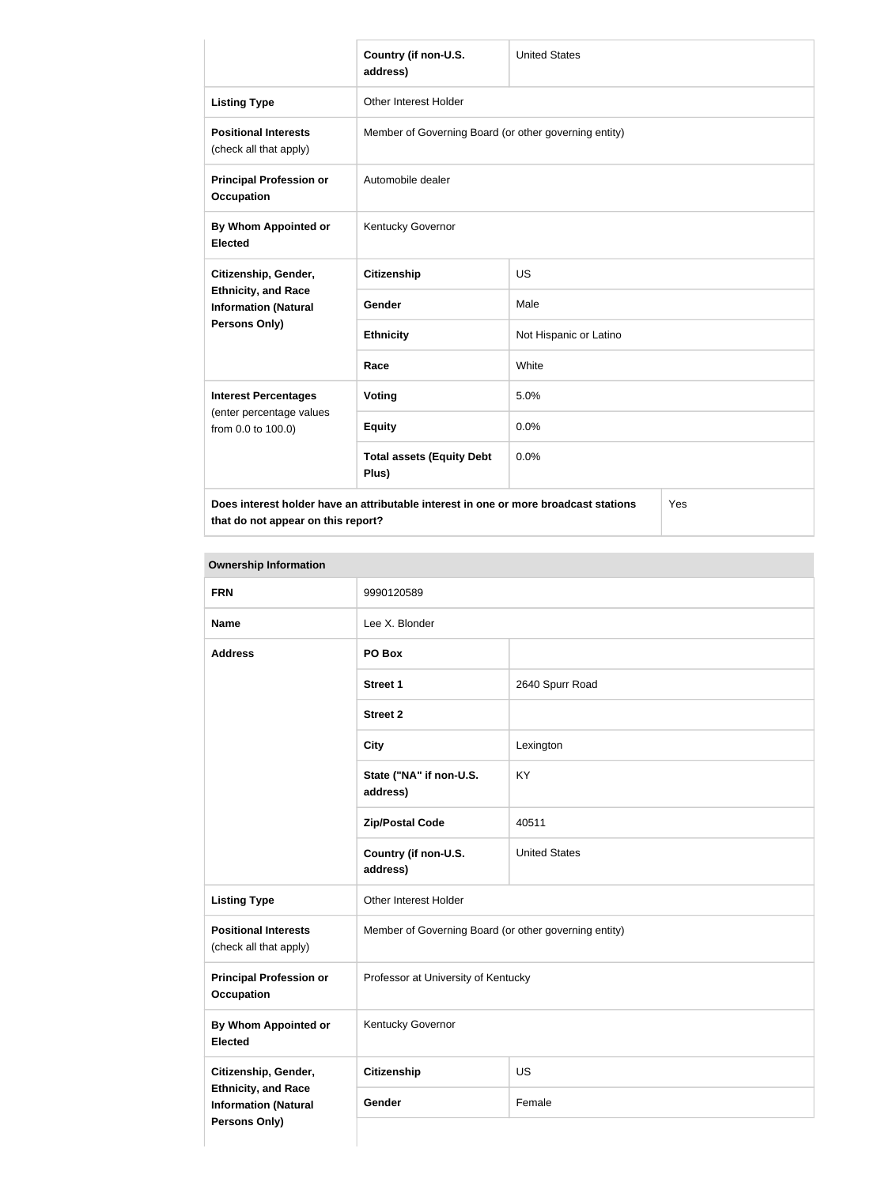|                                                                                                           | Country (if non-U.S.<br>address)                      | <b>United States</b>   |  |
|-----------------------------------------------------------------------------------------------------------|-------------------------------------------------------|------------------------|--|
| <b>Listing Type</b>                                                                                       | Other Interest Holder                                 |                        |  |
| <b>Positional Interests</b><br>(check all that apply)                                                     | Member of Governing Board (or other governing entity) |                        |  |
| <b>Principal Profession or</b><br><b>Occupation</b>                                                       | Automobile dealer                                     |                        |  |
| By Whom Appointed or<br><b>Elected</b>                                                                    | Kentucky Governor                                     |                        |  |
| Citizenship, Gender,<br><b>Ethnicity, and Race</b><br><b>Information (Natural</b><br><b>Persons Only)</b> | <b>Citizenship</b>                                    | <b>US</b>              |  |
|                                                                                                           | Gender                                                | Male                   |  |
|                                                                                                           | <b>Ethnicity</b>                                      | Not Hispanic or Latino |  |
|                                                                                                           | Race                                                  | White                  |  |
| <b>Interest Percentages</b>                                                                               | <b>Voting</b>                                         | 5.0%                   |  |
| (enter percentage values<br>from 0.0 to 100.0)                                                            | <b>Equity</b>                                         | 0.0%                   |  |
|                                                                                                           | <b>Total assets (Equity Debt</b><br>Plus)             | 0.0%                   |  |
| Does interest holder have an attributable interest in one or more broadcast stations<br>Yes               |                                                       |                        |  |

**that do not appear on this report?**

Yes

| <b>FRN</b>                                                                 | 9990120589                                            |                      |
|----------------------------------------------------------------------------|-------------------------------------------------------|----------------------|
| <b>Name</b>                                                                | Lee X. Blonder                                        |                      |
| <b>Address</b>                                                             | PO Box                                                |                      |
|                                                                            | <b>Street 1</b>                                       | 2640 Spurr Road      |
|                                                                            | <b>Street 2</b>                                       |                      |
|                                                                            | <b>City</b>                                           | Lexington            |
|                                                                            | State ("NA" if non-U.S.<br>address)                   | KY                   |
|                                                                            | <b>Zip/Postal Code</b>                                | 40511                |
|                                                                            | Country (if non-U.S.<br>address)                      | <b>United States</b> |
| <b>Listing Type</b>                                                        | Other Interest Holder                                 |                      |
| <b>Positional Interests</b><br>(check all that apply)                      | Member of Governing Board (or other governing entity) |                      |
| <b>Principal Profession or</b><br><b>Occupation</b>                        | Professor at University of Kentucky                   |                      |
| <b>By Whom Appointed or</b><br><b>Elected</b>                              | Kentucky Governor                                     |                      |
| Citizenship, Gender,                                                       | Citizenship                                           | US                   |
| <b>Ethnicity, and Race</b><br><b>Information (Natural</b><br>Persons Only) | Gender                                                | Female               |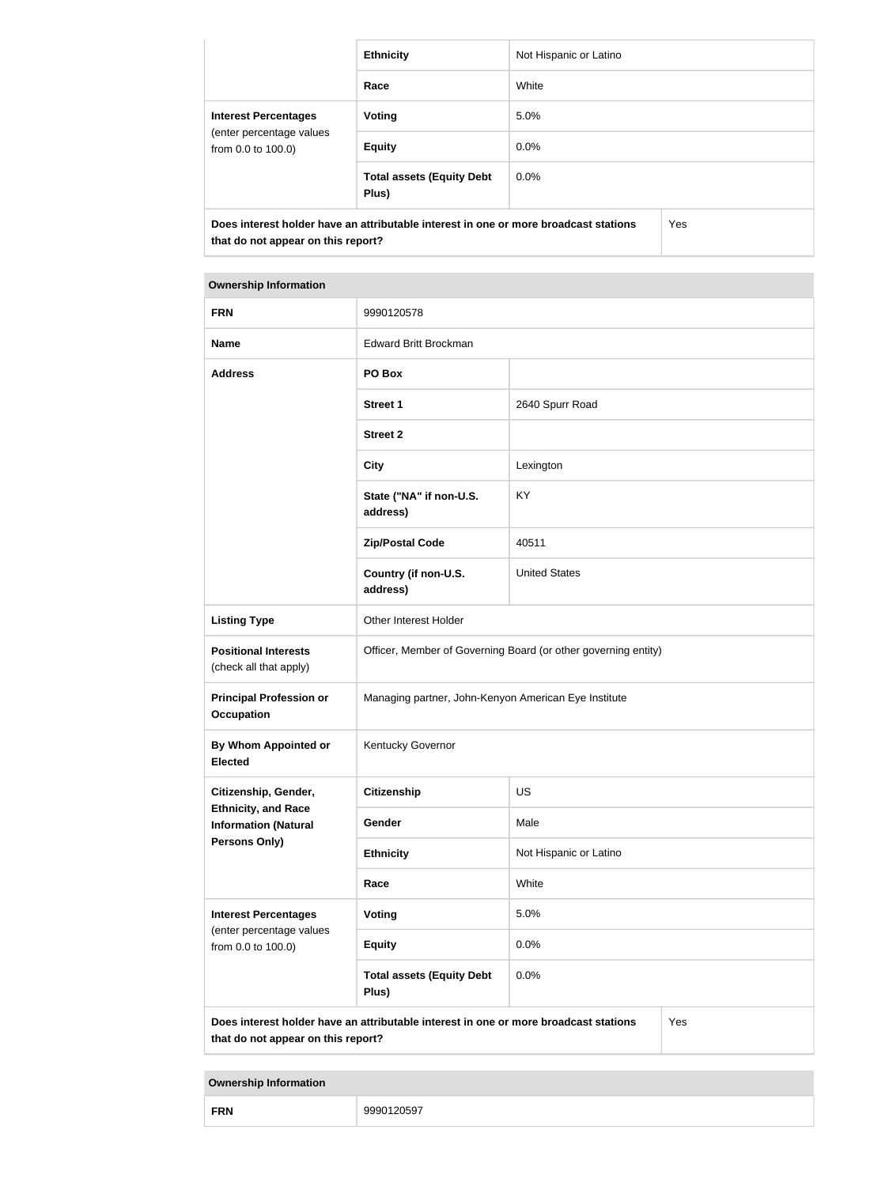|                                                                                                                            | <b>Ethnicity</b>                          | Not Hispanic or Latino |     |
|----------------------------------------------------------------------------------------------------------------------------|-------------------------------------------|------------------------|-----|
|                                                                                                                            | Race                                      | White                  |     |
| <b>Interest Percentages</b><br>(enter percentage values<br>from 0.0 to 100.0)                                              | Voting                                    | 5.0%                   |     |
|                                                                                                                            | <b>Equity</b>                             | $0.0\%$                |     |
|                                                                                                                            | <b>Total assets (Equity Debt</b><br>Plus) | $0.0\%$                |     |
| Does interest holder have an attributable interest in one or more broadcast stations<br>that do not appear on this report? |                                           |                        | Yes |

| <b>FRN</b>                                                | 9990120578                                                                           |                        |     |
|-----------------------------------------------------------|--------------------------------------------------------------------------------------|------------------------|-----|
| <b>Name</b>                                               | <b>Edward Britt Brockman</b>                                                         |                        |     |
| <b>Address</b>                                            | PO Box                                                                               |                        |     |
|                                                           | <b>Street 1</b>                                                                      | 2640 Spurr Road        |     |
|                                                           | <b>Street 2</b>                                                                      |                        |     |
|                                                           | <b>City</b>                                                                          | Lexington              |     |
|                                                           | State ("NA" if non-U.S.<br>address)                                                  | KY                     |     |
|                                                           | <b>Zip/Postal Code</b>                                                               | 40511                  |     |
|                                                           | Country (if non-U.S.<br>address)                                                     | <b>United States</b>   |     |
| <b>Listing Type</b>                                       | Other Interest Holder                                                                |                        |     |
| <b>Positional Interests</b><br>(check all that apply)     | Officer, Member of Governing Board (or other governing entity)                       |                        |     |
| <b>Principal Profession or</b><br><b>Occupation</b>       | Managing partner, John-Kenyon American Eye Institute                                 |                        |     |
| By Whom Appointed or<br><b>Elected</b>                    | Kentucky Governor                                                                    |                        |     |
| Citizenship, Gender,                                      | Citizenship                                                                          | US                     |     |
| <b>Ethnicity, and Race</b><br><b>Information (Natural</b> | Gender                                                                               | Male                   |     |
| Persons Only)                                             | <b>Ethnicity</b>                                                                     | Not Hispanic or Latino |     |
|                                                           | Race                                                                                 | White                  |     |
| <b>Interest Percentages</b>                               | <b>Voting</b>                                                                        | 5.0%                   |     |
| (enter percentage values<br>from 0.0 to 100.0)            | <b>Equity</b>                                                                        | 0.0%                   |     |
|                                                           | <b>Total assets (Equity Debt</b><br>Plus)                                            | 0.0%                   |     |
| that do not appear on this report?                        | Does interest holder have an attributable interest in one or more broadcast stations |                        | Yes |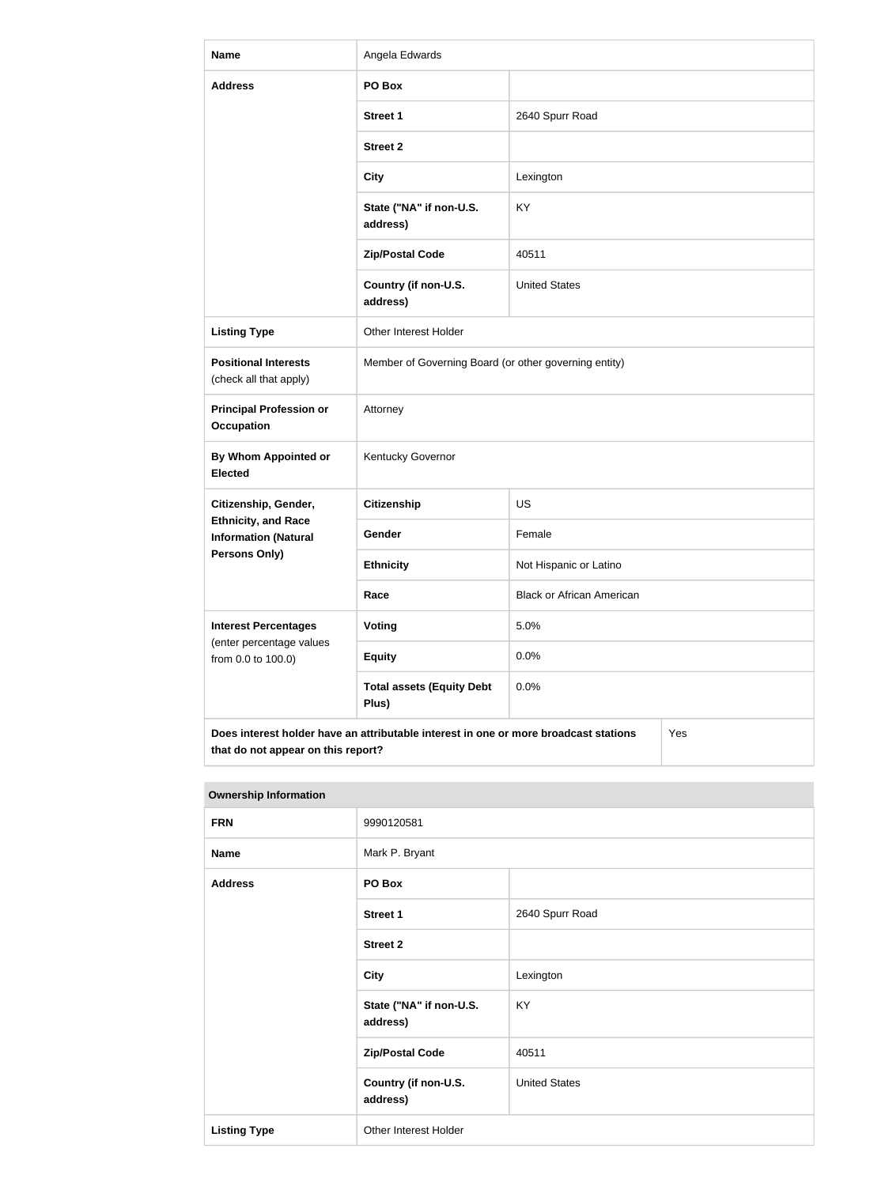| <b>Name</b>                                                                                                                       | Angela Edwards                                        |                                  |  |
|-----------------------------------------------------------------------------------------------------------------------------------|-------------------------------------------------------|----------------------------------|--|
| <b>Address</b>                                                                                                                    | PO Box                                                |                                  |  |
|                                                                                                                                   | <b>Street 1</b>                                       | 2640 Spurr Road                  |  |
|                                                                                                                                   | <b>Street 2</b>                                       |                                  |  |
|                                                                                                                                   | <b>City</b>                                           | Lexington                        |  |
|                                                                                                                                   | State ("NA" if non-U.S.<br>address)                   | <b>KY</b>                        |  |
|                                                                                                                                   | <b>Zip/Postal Code</b>                                | 40511                            |  |
|                                                                                                                                   | Country (if non-U.S.<br>address)                      | <b>United States</b>             |  |
| <b>Listing Type</b>                                                                                                               | Other Interest Holder                                 |                                  |  |
| <b>Positional Interests</b><br>(check all that apply)                                                                             | Member of Governing Board (or other governing entity) |                                  |  |
| <b>Principal Profession or</b><br><b>Occupation</b>                                                                               | Attorney                                              |                                  |  |
| By Whom Appointed or<br><b>Elected</b>                                                                                            | Kentucky Governor                                     |                                  |  |
| Citizenship, Gender,                                                                                                              | <b>Citizenship</b>                                    | <b>US</b>                        |  |
| <b>Ethnicity, and Race</b><br><b>Information (Natural</b>                                                                         | Gender                                                | Female                           |  |
| <b>Persons Only)</b>                                                                                                              | <b>Ethnicity</b>                                      | Not Hispanic or Latino           |  |
|                                                                                                                                   | Race                                                  | <b>Black or African American</b> |  |
| <b>Interest Percentages</b>                                                                                                       | <b>Voting</b>                                         | 5.0%                             |  |
| (enter percentage values<br>from 0.0 to 100.0)                                                                                    | <b>Equity</b>                                         | 0.0%                             |  |
|                                                                                                                                   | <b>Total assets (Equity Debt</b><br>Plus)             | 0.0%                             |  |
| Does interest holder have an attributable interest in one or more broadcast stations<br>Yes<br>that do not appear on this report? |                                                       |                                  |  |

| <b>Ownership Information</b> |                                     |                      |
|------------------------------|-------------------------------------|----------------------|
| <b>FRN</b>                   | 9990120581                          |                      |
| <b>Name</b>                  | Mark P. Bryant                      |                      |
| <b>Address</b>               | PO Box                              |                      |
|                              | <b>Street 1</b>                     | 2640 Spurr Road      |
|                              | <b>Street 2</b>                     |                      |
|                              | <b>City</b>                         | Lexington            |
|                              | State ("NA" if non-U.S.<br>address) | <b>KY</b>            |
|                              | <b>Zip/Postal Code</b>              | 40511                |
|                              | Country (if non-U.S.<br>address)    | <b>United States</b> |
| <b>Listing Type</b>          | Other Interest Holder               |                      |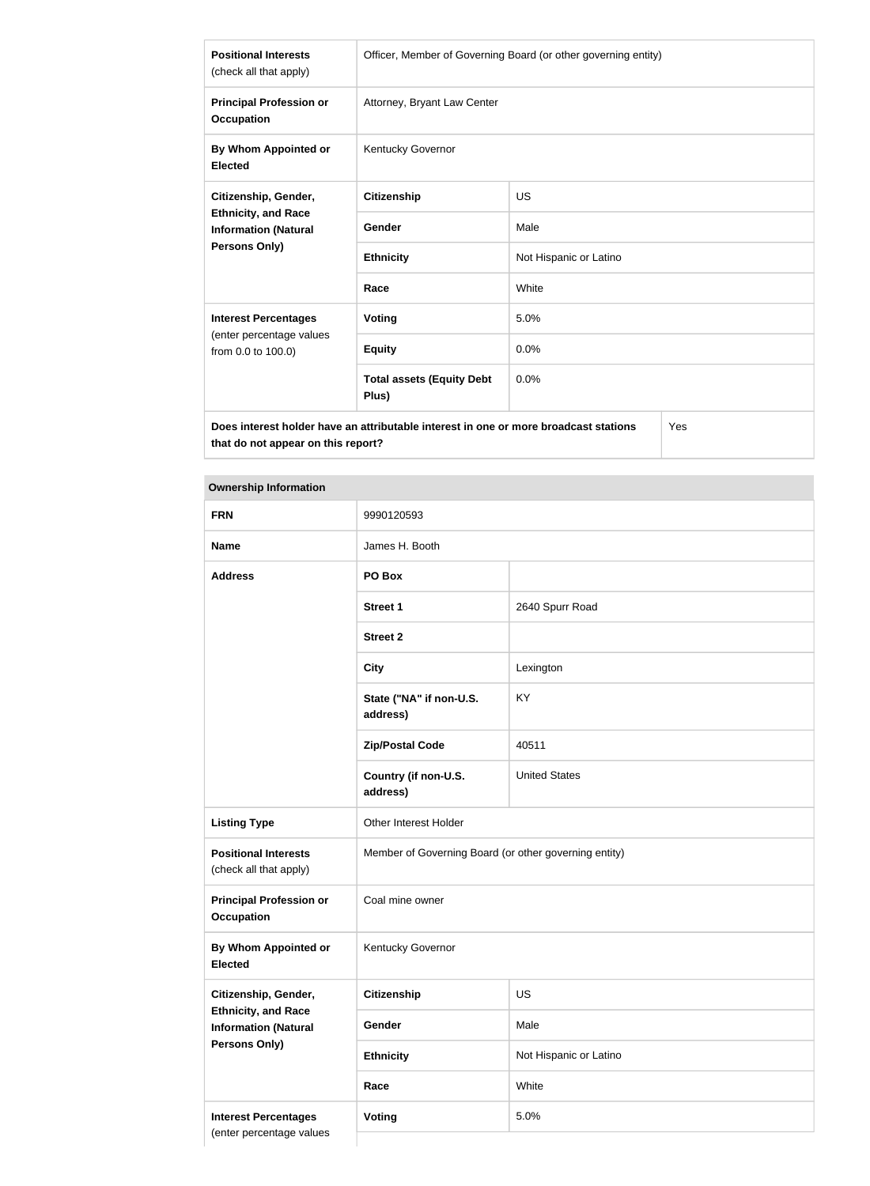| <b>Positional Interests</b><br>(check all that apply)                                                              | Officer, Member of Governing Board (or other governing entity) |                        |
|--------------------------------------------------------------------------------------------------------------------|----------------------------------------------------------------|------------------------|
| <b>Principal Profession or</b><br><b>Occupation</b>                                                                | Attorney, Bryant Law Center                                    |                        |
| By Whom Appointed or<br><b>Elected</b>                                                                             | Kentucky Governor                                              |                        |
| Citizenship, Gender,                                                                                               | <b>Citizenship</b>                                             | <b>US</b>              |
| <b>Ethnicity, and Race</b><br><b>Information (Natural</b>                                                          | Gender                                                         | Male                   |
| <b>Persons Only)</b>                                                                                               | <b>Ethnicity</b>                                               | Not Hispanic or Latino |
|                                                                                                                    | Race                                                           | White                  |
| <b>Interest Percentages</b>                                                                                        | <b>Voting</b>                                                  | 5.0%                   |
| (enter percentage values<br>from 0.0 to 100.0)                                                                     | <b>Equity</b>                                                  | 0.0%                   |
|                                                                                                                    | <b>Total assets (Equity Debt</b><br>Plus)                      | 0.0%                   |
| $\mathcal{L}_{\mathbf{a}}$<br>Dees interest kelder keus en stuikutekle interest in ens er mers kreedsest stetiens. |                                                                |                        |

**Does interest holder have an attributable interest in one or more broadcast stations that do not appear on this report?**

Yes

| <b>FRN</b>                                                                        | 9990120593                                            |                        |
|-----------------------------------------------------------------------------------|-------------------------------------------------------|------------------------|
| <b>Name</b>                                                                       | James H. Booth                                        |                        |
| <b>Address</b>                                                                    | PO Box                                                |                        |
|                                                                                   | <b>Street 1</b>                                       | 2640 Spurr Road        |
|                                                                                   | <b>Street 2</b>                                       |                        |
|                                                                                   | <b>City</b>                                           | Lexington              |
|                                                                                   | State ("NA" if non-U.S.<br>address)                   | KY                     |
|                                                                                   | <b>Zip/Postal Code</b>                                | 40511                  |
|                                                                                   | Country (if non-U.S.<br>address)                      | <b>United States</b>   |
| <b>Listing Type</b>                                                               | Other Interest Holder                                 |                        |
| <b>Positional Interests</b><br>(check all that apply)                             | Member of Governing Board (or other governing entity) |                        |
| <b>Principal Profession or</b><br><b>Occupation</b>                               | Coal mine owner                                       |                        |
| By Whom Appointed or<br><b>Elected</b>                                            | Kentucky Governor                                     |                        |
| Citizenship, Gender,                                                              | Citizenship                                           | US                     |
| <b>Ethnicity, and Race</b><br><b>Information (Natural</b><br><b>Persons Only)</b> | Gender                                                | Male                   |
|                                                                                   | <b>Ethnicity</b>                                      | Not Hispanic or Latino |
|                                                                                   | Race                                                  | White                  |
| <b>Interest Percentages</b>                                                       | Voting                                                | 5.0%                   |
| (enter percentage values                                                          |                                                       |                        |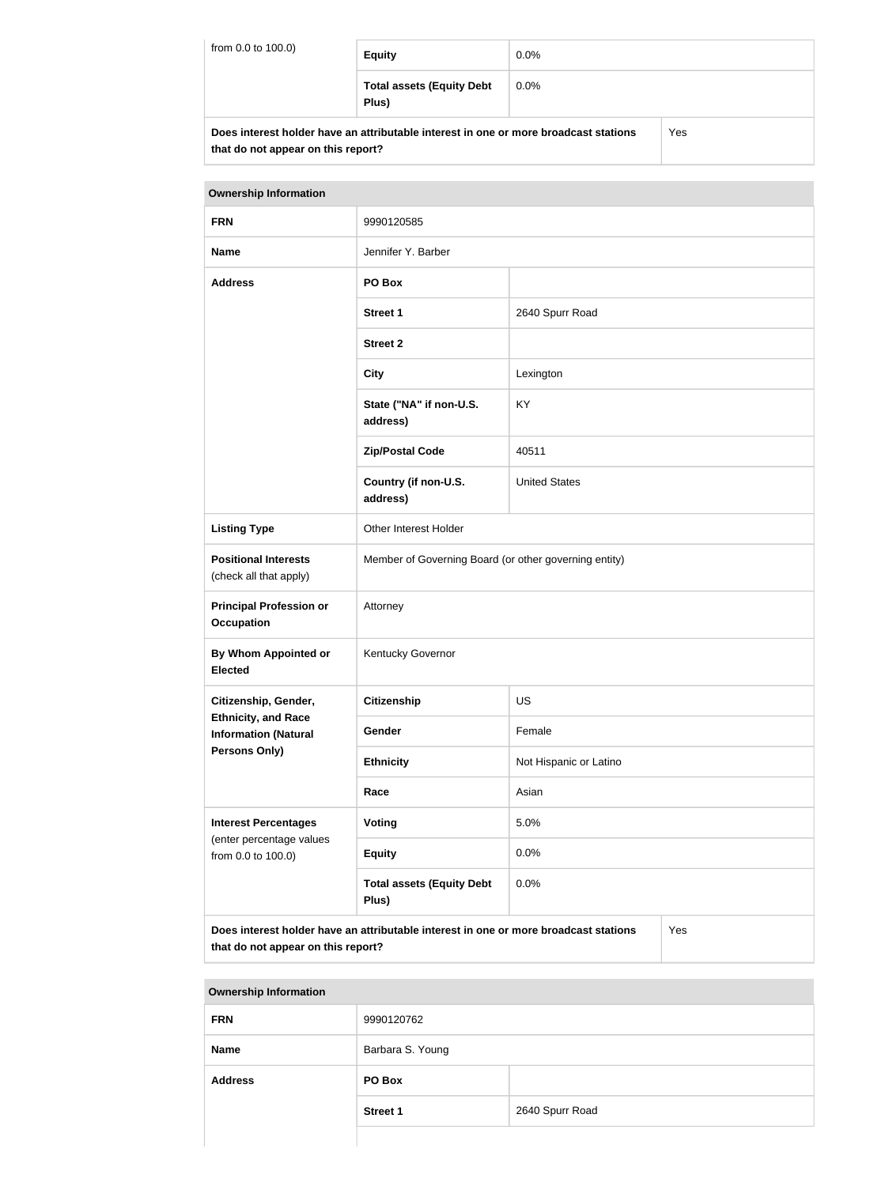| from 0.0 to 100.0)                                                                          | <b>Equity</b>                             | $0.0\%$ |  |
|---------------------------------------------------------------------------------------------|-------------------------------------------|---------|--|
|                                                                                             | <b>Total assets (Equity Debt</b><br>Plus) | $0.0\%$ |  |
| Does interest holder have an attributable interest in one or more broadcast stations<br>Yes |                                           |         |  |

| Does interest holder have an attributable interest in one or more broadcast stations |
|--------------------------------------------------------------------------------------|
| that do not appear on this report?                                                   |

| <b>Ownership Information</b>                                                                                                      |                                                       |                        |  |
|-----------------------------------------------------------------------------------------------------------------------------------|-------------------------------------------------------|------------------------|--|
| <b>FRN</b>                                                                                                                        | 9990120585                                            |                        |  |
| <b>Name</b>                                                                                                                       | Jennifer Y. Barber                                    |                        |  |
| <b>Address</b>                                                                                                                    | PO Box                                                |                        |  |
|                                                                                                                                   | <b>Street 1</b>                                       | 2640 Spurr Road        |  |
|                                                                                                                                   | <b>Street 2</b>                                       |                        |  |
|                                                                                                                                   | <b>City</b>                                           | Lexington              |  |
|                                                                                                                                   | State ("NA" if non-U.S.<br>address)                   | KY                     |  |
|                                                                                                                                   | <b>Zip/Postal Code</b>                                | 40511                  |  |
|                                                                                                                                   | Country (if non-U.S.<br>address)                      | <b>United States</b>   |  |
| <b>Listing Type</b>                                                                                                               | Other Interest Holder                                 |                        |  |
| <b>Positional Interests</b><br>(check all that apply)                                                                             | Member of Governing Board (or other governing entity) |                        |  |
| <b>Principal Profession or</b><br><b>Occupation</b>                                                                               | Attorney                                              |                        |  |
| By Whom Appointed or<br><b>Elected</b>                                                                                            | Kentucky Governor                                     |                        |  |
| Citizenship, Gender,                                                                                                              | <b>Citizenship</b>                                    | <b>US</b>              |  |
| <b>Ethnicity, and Race</b><br><b>Information (Natural</b>                                                                         | Gender                                                | Female                 |  |
| <b>Persons Only)</b>                                                                                                              | <b>Ethnicity</b>                                      | Not Hispanic or Latino |  |
|                                                                                                                                   | Race                                                  | Asian                  |  |
| <b>Interest Percentages</b><br>(enter percentage values<br>from 0.0 to 100.0)                                                     | Voting                                                | 5.0%                   |  |
|                                                                                                                                   | <b>Equity</b>                                         | 0.0%                   |  |
|                                                                                                                                   | <b>Total assets (Equity Debt</b><br>Plus)             | 0.0%                   |  |
| Does interest holder have an attributable interest in one or more broadcast stations<br>Yes<br>that do not appear on this report? |                                                       |                        |  |

| <b>Ownership Information</b> |                  |                 |
|------------------------------|------------------|-----------------|
| <b>FRN</b>                   | 9990120762       |                 |
| <b>Name</b>                  | Barbara S. Young |                 |
| <b>Address</b>               | PO Box           |                 |
|                              | <b>Street 1</b>  | 2640 Spurr Road |
|                              |                  |                 |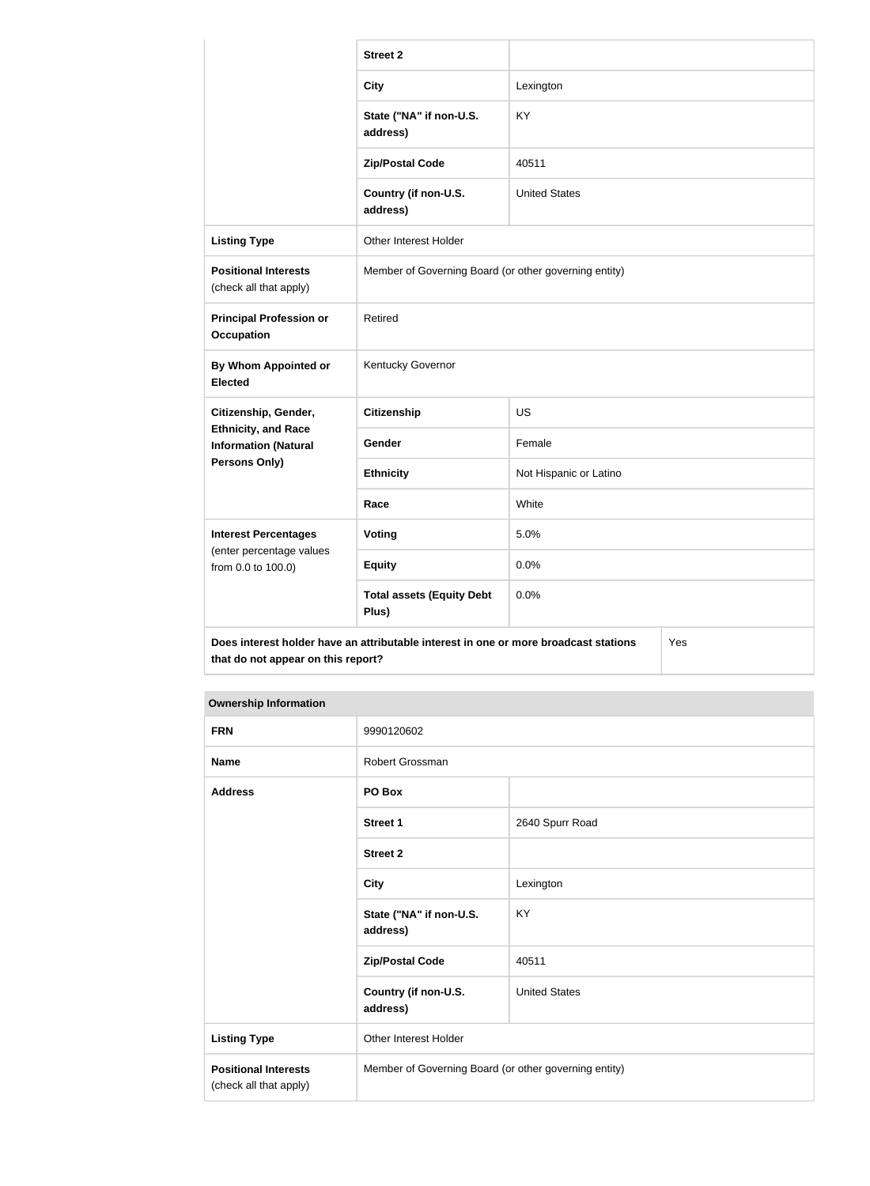|                                                                                                                                   | <b>Street 2</b>                                       |                        |  |
|-----------------------------------------------------------------------------------------------------------------------------------|-------------------------------------------------------|------------------------|--|
|                                                                                                                                   | <b>City</b>                                           | Lexington              |  |
|                                                                                                                                   | State ("NA" if non-U.S.<br>address)                   | KY.                    |  |
|                                                                                                                                   | <b>Zip/Postal Code</b>                                | 40511                  |  |
|                                                                                                                                   | Country (if non-U.S.<br>address)                      | <b>United States</b>   |  |
| <b>Listing Type</b>                                                                                                               | Other Interest Holder                                 |                        |  |
| <b>Positional Interests</b><br>(check all that apply)                                                                             | Member of Governing Board (or other governing entity) |                        |  |
| <b>Principal Profession or</b><br><b>Occupation</b>                                                                               | Retired                                               |                        |  |
| By Whom Appointed or<br><b>Elected</b>                                                                                            | Kentucky Governor                                     |                        |  |
| Citizenship, Gender,                                                                                                              | <b>Citizenship</b>                                    | <b>US</b>              |  |
| <b>Ethnicity, and Race</b><br><b>Information (Natural</b>                                                                         | Gender                                                | Female                 |  |
| Persons Only)                                                                                                                     | <b>Ethnicity</b>                                      | Not Hispanic or Latino |  |
|                                                                                                                                   | Race                                                  | White                  |  |
| <b>Interest Percentages</b>                                                                                                       | Voting                                                | 5.0%                   |  |
| (enter percentage values<br>from 0.0 to 100.0)                                                                                    | <b>Equity</b>                                         | 0.0%                   |  |
|                                                                                                                                   | <b>Total assets (Equity Debt</b><br>Plus)             | 0.0%                   |  |
| Does interest holder have an attributable interest in one or more broadcast stations<br>Yes<br>that do not appear on this report? |                                                       |                        |  |

| <b>FRN</b>                                            | 9990120602                                            |                      |
|-------------------------------------------------------|-------------------------------------------------------|----------------------|
| <b>Name</b>                                           | Robert Grossman                                       |                      |
| <b>Address</b>                                        | PO Box                                                |                      |
|                                                       | <b>Street 1</b>                                       | 2640 Spurr Road      |
|                                                       | <b>Street 2</b>                                       |                      |
|                                                       | <b>City</b>                                           | Lexington            |
|                                                       | State ("NA" if non-U.S.<br>address)                   | <b>KY</b>            |
|                                                       | <b>Zip/Postal Code</b>                                | 40511                |
|                                                       | Country (if non-U.S.<br>address)                      | <b>United States</b> |
| <b>Listing Type</b>                                   | Other Interest Holder                                 |                      |
| <b>Positional Interests</b><br>(check all that apply) | Member of Governing Board (or other governing entity) |                      |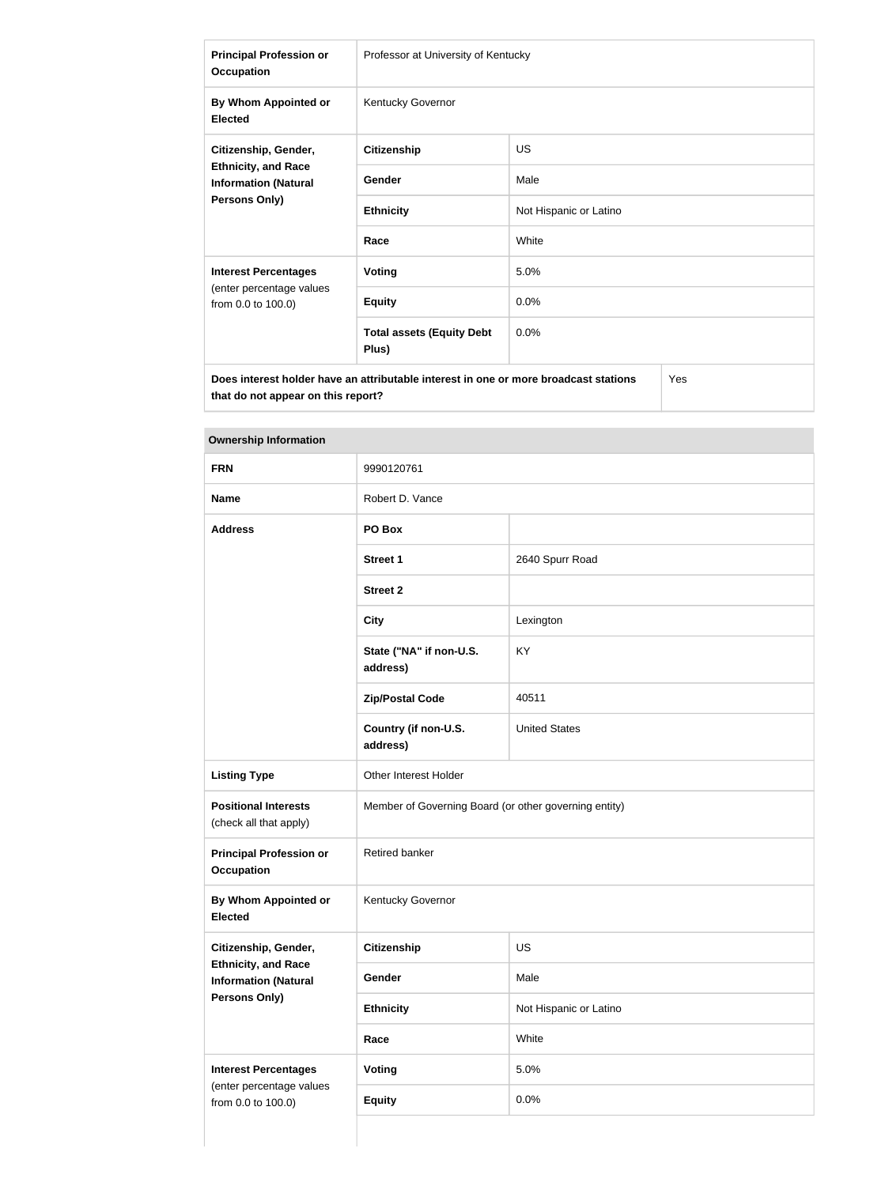| <b>Principal Profession or</b><br><b>Occupation</b>                                                       | Professor at University of Kentucky       |                        |
|-----------------------------------------------------------------------------------------------------------|-------------------------------------------|------------------------|
| By Whom Appointed or<br><b>Elected</b>                                                                    | Kentucky Governor                         |                        |
| Citizenship, Gender,<br><b>Ethnicity, and Race</b><br><b>Information (Natural</b><br><b>Persons Only)</b> | <b>Citizenship</b>                        | <b>US</b>              |
|                                                                                                           | Gender                                    | Male                   |
|                                                                                                           | <b>Ethnicity</b>                          | Not Hispanic or Latino |
|                                                                                                           | Race                                      | White                  |
| <b>Interest Percentages</b>                                                                               | Voting                                    | 5.0%                   |
| (enter percentage values<br>from 0.0 to 100.0)                                                            | <b>Equity</b>                             | 0.0%                   |
|                                                                                                           | <b>Total assets (Equity Debt</b><br>Plus) | 0.0%                   |
| Yes<br>Does interest holder have an attributable interest in one or more broadcast stations               |                                           |                        |

| <b>FRN</b>                                                                        | 9990120761                                            |                        |
|-----------------------------------------------------------------------------------|-------------------------------------------------------|------------------------|
| <b>Name</b>                                                                       | Robert D. Vance                                       |                        |
| <b>Address</b>                                                                    | PO Box                                                |                        |
|                                                                                   | <b>Street 1</b>                                       | 2640 Spurr Road        |
|                                                                                   | <b>Street 2</b>                                       |                        |
|                                                                                   | <b>City</b>                                           | Lexington              |
|                                                                                   | State ("NA" if non-U.S.<br>address)                   | KY                     |
|                                                                                   | <b>Zip/Postal Code</b>                                | 40511                  |
|                                                                                   | Country (if non-U.S.<br>address)                      | <b>United States</b>   |
| <b>Listing Type</b>                                                               | Other Interest Holder                                 |                        |
| <b>Positional Interests</b><br>(check all that apply)                             | Member of Governing Board (or other governing entity) |                        |
| <b>Principal Profession or</b><br><b>Occupation</b>                               | Retired banker                                        |                        |
| By Whom Appointed or<br><b>Elected</b>                                            | Kentucky Governor                                     |                        |
| Citizenship, Gender,                                                              | <b>Citizenship</b>                                    | <b>US</b>              |
| <b>Ethnicity, and Race</b><br><b>Information (Natural</b><br><b>Persons Only)</b> | Gender                                                | Male                   |
|                                                                                   | <b>Ethnicity</b>                                      | Not Hispanic or Latino |
|                                                                                   | Race                                                  | White                  |
| <b>Interest Percentages</b>                                                       | <b>Voting</b>                                         | 5.0%                   |
| (enter percentage values<br>from 0.0 to 100.0)                                    | <b>Equity</b>                                         | 0.0%                   |
|                                                                                   |                                                       |                        |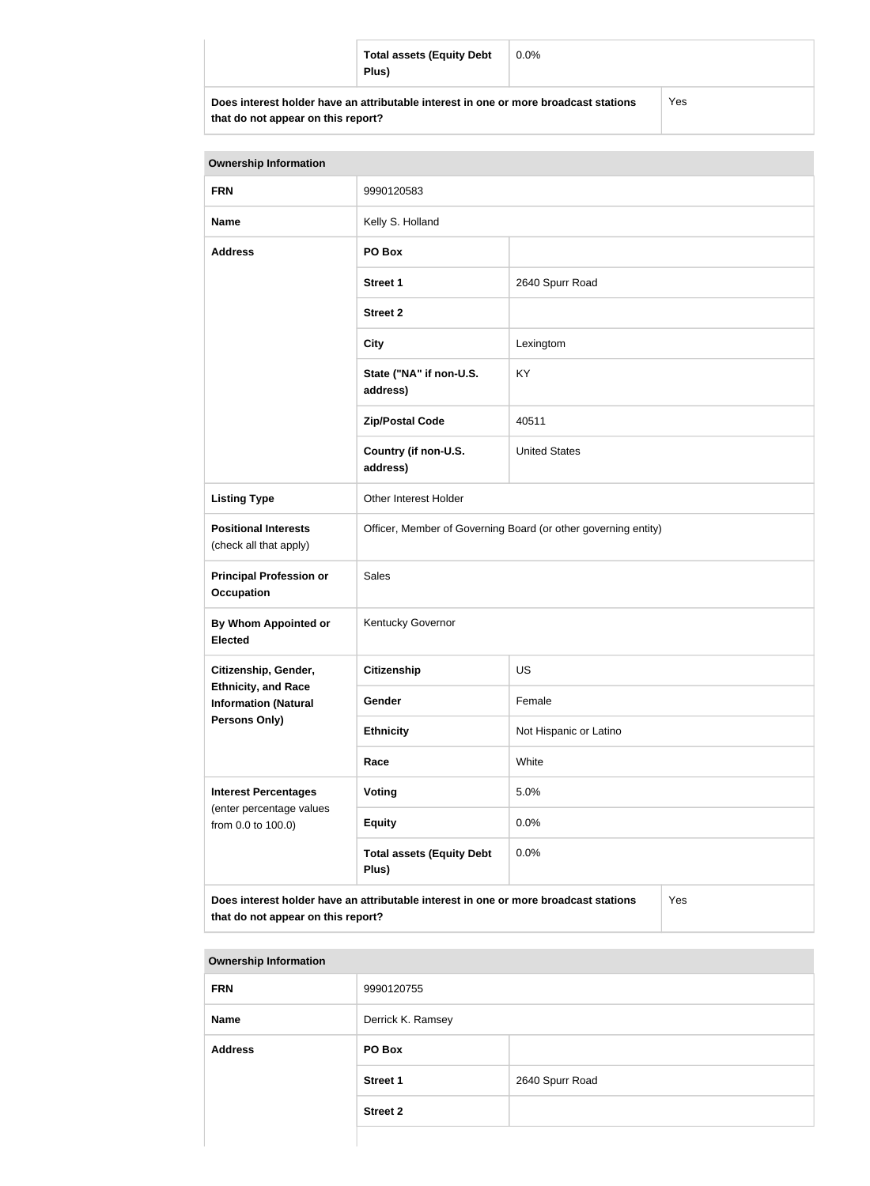|                                                                                      | <b>Total assets (Equity Debt</b><br>Plus) | $0.0\%$ |     |
|--------------------------------------------------------------------------------------|-------------------------------------------|---------|-----|
| Does interest holder have an attributable interest in one or more broadcast stations |                                           |         | Yes |

| <b>Ownership Information</b>                                                                                                      |                                                                |                        |  |
|-----------------------------------------------------------------------------------------------------------------------------------|----------------------------------------------------------------|------------------------|--|
| <b>FRN</b>                                                                                                                        | 9990120583                                                     |                        |  |
| <b>Name</b>                                                                                                                       | Kelly S. Holland                                               |                        |  |
| <b>Address</b>                                                                                                                    | PO Box                                                         |                        |  |
|                                                                                                                                   | <b>Street 1</b>                                                | 2640 Spurr Road        |  |
|                                                                                                                                   | <b>Street 2</b>                                                |                        |  |
|                                                                                                                                   | <b>City</b>                                                    | Lexingtom              |  |
|                                                                                                                                   | State ("NA" if non-U.S.<br>address)                            | KY                     |  |
|                                                                                                                                   | <b>Zip/Postal Code</b>                                         | 40511                  |  |
|                                                                                                                                   | Country (if non-U.S.<br>address)                               | <b>United States</b>   |  |
| <b>Listing Type</b>                                                                                                               | Other Interest Holder                                          |                        |  |
| <b>Positional Interests</b><br>(check all that apply)                                                                             | Officer, Member of Governing Board (or other governing entity) |                        |  |
| <b>Principal Profession or</b><br><b>Occupation</b>                                                                               | Sales                                                          |                        |  |
| By Whom Appointed or<br><b>Elected</b>                                                                                            | Kentucky Governor                                              |                        |  |
| Citizenship, Gender,                                                                                                              | <b>Citizenship</b>                                             | <b>US</b>              |  |
| <b>Ethnicity, and Race</b><br><b>Information (Natural</b>                                                                         | Gender                                                         | Female                 |  |
| Persons Only)                                                                                                                     | <b>Ethnicity</b>                                               | Not Hispanic or Latino |  |
|                                                                                                                                   | Race                                                           | White                  |  |
| <b>Interest Percentages</b>                                                                                                       | Voting                                                         | 5.0%                   |  |
| (enter percentage values<br>from 0.0 to 100.0)                                                                                    | <b>Equity</b>                                                  | 0.0%                   |  |
|                                                                                                                                   | <b>Total assets (Equity Debt</b><br>Plus)                      | 0.0%                   |  |
| Does interest holder have an attributable interest in one or more broadcast stations<br>Yes<br>that do not appear on this report? |                                                                |                        |  |

| <b>Ownership Information</b> |                   |                 |  |
|------------------------------|-------------------|-----------------|--|
| <b>FRN</b>                   | 9990120755        |                 |  |
| <b>Name</b>                  | Derrick K. Ramsey |                 |  |
| <b>Address</b>               | PO Box            |                 |  |
|                              | <b>Street 1</b>   | 2640 Spurr Road |  |
|                              | <b>Street 2</b>   |                 |  |
|                              |                   |                 |  |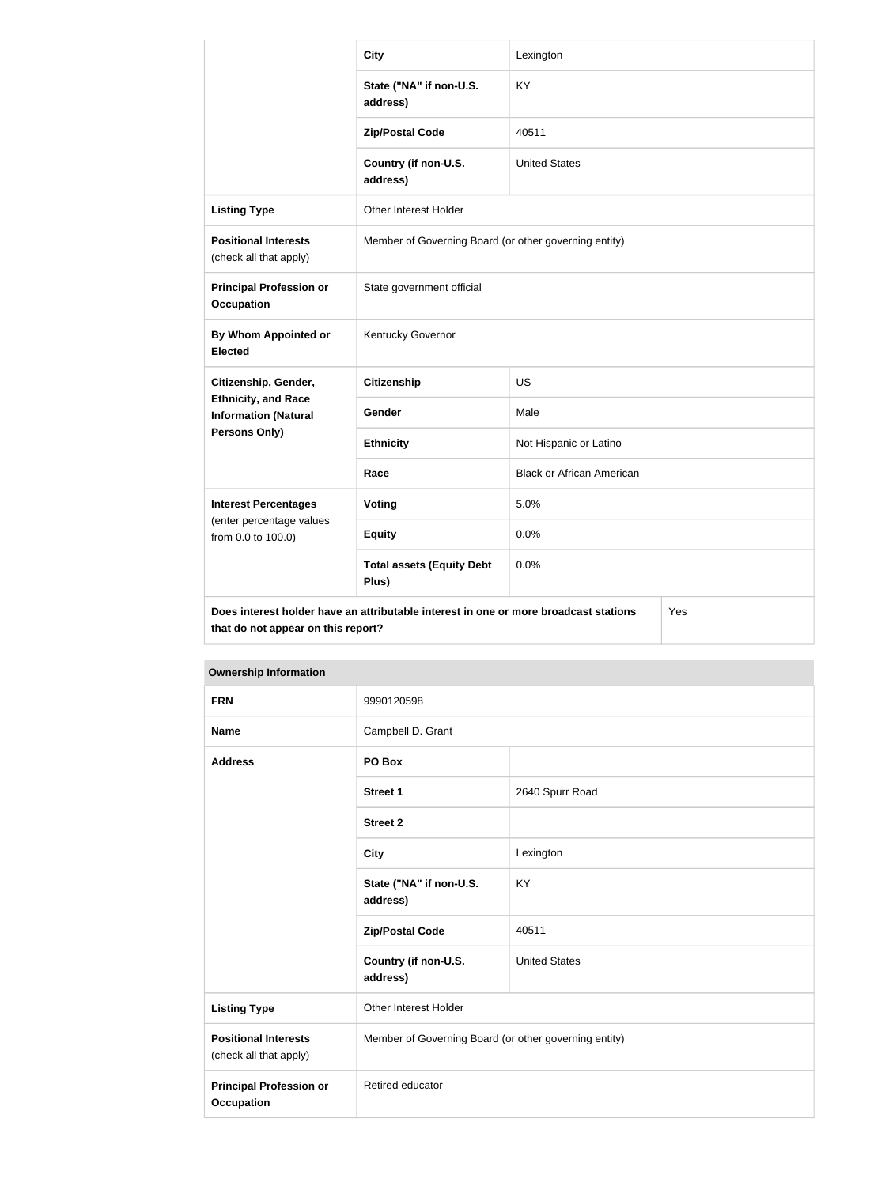|                                                                                                                                   | <b>City</b>                                           | Lexington                        |  |
|-----------------------------------------------------------------------------------------------------------------------------------|-------------------------------------------------------|----------------------------------|--|
|                                                                                                                                   | State ("NA" if non-U.S.<br>address)                   | <b>KY</b>                        |  |
|                                                                                                                                   | <b>Zip/Postal Code</b>                                | 40511                            |  |
|                                                                                                                                   | Country (if non-U.S.<br>address)                      | <b>United States</b>             |  |
| <b>Listing Type</b>                                                                                                               | Other Interest Holder                                 |                                  |  |
| <b>Positional Interests</b><br>(check all that apply)                                                                             | Member of Governing Board (or other governing entity) |                                  |  |
| <b>Principal Profession or</b><br><b>Occupation</b>                                                                               | State government official                             |                                  |  |
| <b>By Whom Appointed or</b><br><b>Elected</b>                                                                                     | Kentucky Governor                                     |                                  |  |
| Citizenship, Gender,<br><b>Ethnicity, and Race</b><br><b>Information (Natural</b>                                                 | <b>Citizenship</b>                                    | <b>US</b>                        |  |
|                                                                                                                                   | Gender                                                | Male                             |  |
| Persons Only)                                                                                                                     | <b>Ethnicity</b>                                      | Not Hispanic or Latino           |  |
|                                                                                                                                   | Race                                                  | <b>Black or African American</b> |  |
| <b>Interest Percentages</b><br>(enter percentage values                                                                           | Voting                                                | 5.0%                             |  |
| from 0.0 to 100.0)                                                                                                                | <b>Equity</b>                                         | 0.0%                             |  |
|                                                                                                                                   | <b>Total assets (Equity Debt</b><br>Plus)             | 0.0%                             |  |
| Does interest holder have an attributable interest in one or more broadcast stations<br>Yes<br>that do not appear on this report? |                                                       |                                  |  |

| <b>Ownership Information</b>                          |                                                       |                      |
|-------------------------------------------------------|-------------------------------------------------------|----------------------|
| <b>FRN</b>                                            | 9990120598                                            |                      |
| <b>Name</b>                                           | Campbell D. Grant                                     |                      |
| <b>Address</b>                                        | PO Box                                                |                      |
|                                                       | <b>Street 1</b>                                       | 2640 Spurr Road      |
|                                                       | <b>Street 2</b>                                       |                      |
|                                                       | <b>City</b>                                           | Lexington            |
|                                                       | State ("NA" if non-U.S.<br>address)                   | KY                   |
|                                                       | <b>Zip/Postal Code</b>                                | 40511                |
|                                                       | Country (if non-U.S.<br>address)                      | <b>United States</b> |
| <b>Listing Type</b>                                   | Other Interest Holder                                 |                      |
| <b>Positional Interests</b><br>(check all that apply) | Member of Governing Board (or other governing entity) |                      |
| <b>Principal Profession or</b><br><b>Occupation</b>   | Retired educator                                      |                      |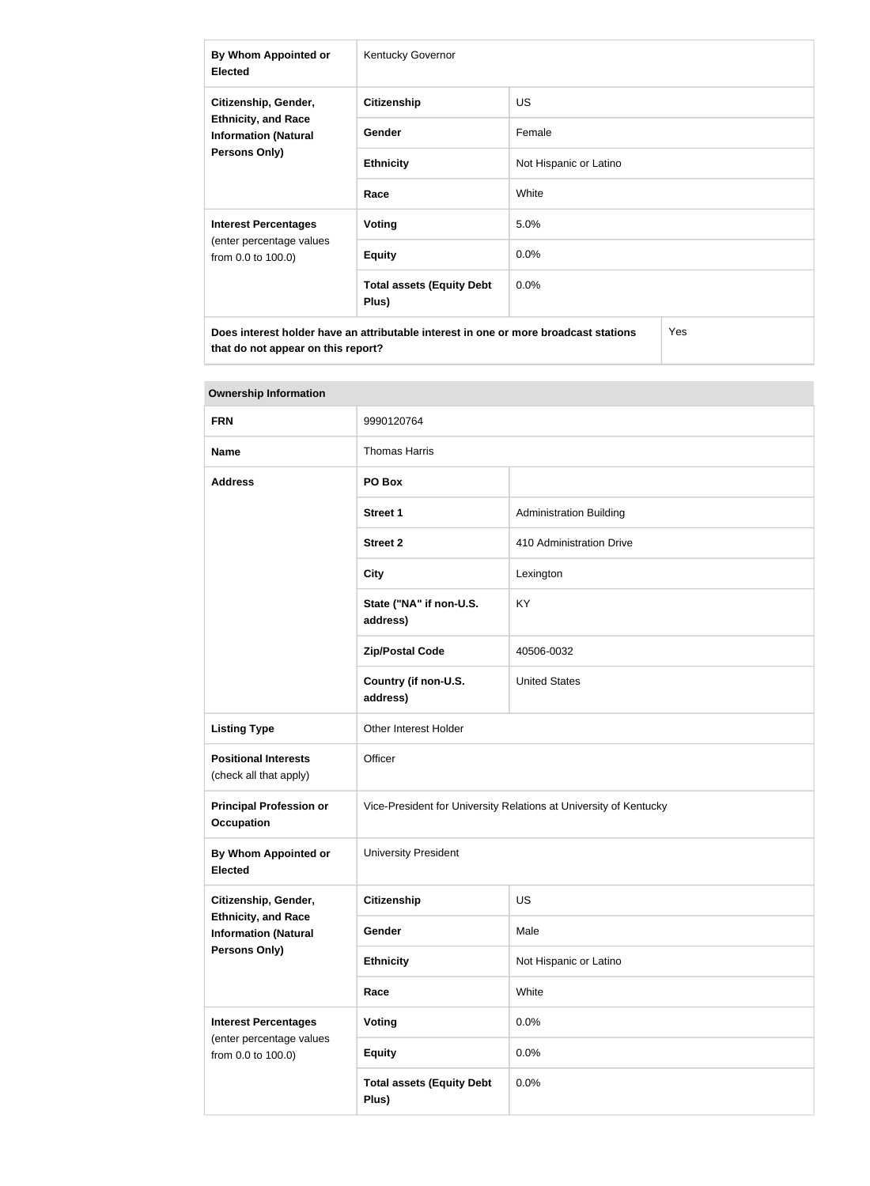| By Whom Appointed or<br><b>Elected</b>                                                                    | Kentucky Governor                         |                        |  |
|-----------------------------------------------------------------------------------------------------------|-------------------------------------------|------------------------|--|
| Citizenship, Gender,<br><b>Ethnicity, and Race</b><br><b>Information (Natural</b><br><b>Persons Only)</b> | <b>Citizenship</b>                        | <b>US</b>              |  |
|                                                                                                           | <b>Gender</b>                             | Female                 |  |
|                                                                                                           | <b>Ethnicity</b>                          | Not Hispanic or Latino |  |
|                                                                                                           | Race                                      | White                  |  |
| <b>Interest Percentages</b><br>(enter percentage values<br>from 0.0 to 100.0)                             | Voting                                    | 5.0%                   |  |
|                                                                                                           | <b>Equity</b>                             | 0.0%                   |  |
|                                                                                                           | <b>Total assets (Equity Debt</b><br>Plus) | $0.0\%$                |  |
| Does interest holder have an attributable interest in one or more broadcast stations<br>Yes               |                                           |                        |  |

| <b>Ownership Information</b>                                                  |                                                                   |                                |  |
|-------------------------------------------------------------------------------|-------------------------------------------------------------------|--------------------------------|--|
| <b>FRN</b>                                                                    | 9990120764                                                        |                                |  |
| <b>Name</b>                                                                   | <b>Thomas Harris</b>                                              |                                |  |
| <b>Address</b>                                                                | PO Box                                                            |                                |  |
|                                                                               | <b>Street 1</b>                                                   | <b>Administration Building</b> |  |
|                                                                               | <b>Street 2</b>                                                   | 410 Administration Drive       |  |
|                                                                               | <b>City</b>                                                       | Lexington                      |  |
|                                                                               | State ("NA" if non-U.S.<br>address)                               | KY                             |  |
|                                                                               | <b>Zip/Postal Code</b>                                            | 40506-0032                     |  |
|                                                                               | Country (if non-U.S.<br>address)                                  | <b>United States</b>           |  |
| <b>Listing Type</b>                                                           | Other Interest Holder                                             |                                |  |
| <b>Positional Interests</b><br>(check all that apply)                         | Officer                                                           |                                |  |
| <b>Principal Profession or</b><br><b>Occupation</b>                           | Vice-President for University Relations at University of Kentucky |                                |  |
| By Whom Appointed or<br><b>Elected</b>                                        | <b>University President</b>                                       |                                |  |
| Citizenship, Gender,                                                          | <b>Citizenship</b>                                                | <b>US</b>                      |  |
| <b>Ethnicity, and Race</b><br><b>Information (Natural</b><br>Persons Only)    | Gender                                                            | Male                           |  |
|                                                                               | <b>Ethnicity</b>                                                  | Not Hispanic or Latino         |  |
|                                                                               | Race                                                              | White                          |  |
| <b>Interest Percentages</b><br>(enter percentage values<br>from 0.0 to 100.0) | Voting                                                            | 0.0%                           |  |
|                                                                               | <b>Equity</b>                                                     | 0.0%                           |  |
|                                                                               | <b>Total assets (Equity Debt</b><br>Plus)                         | 0.0%                           |  |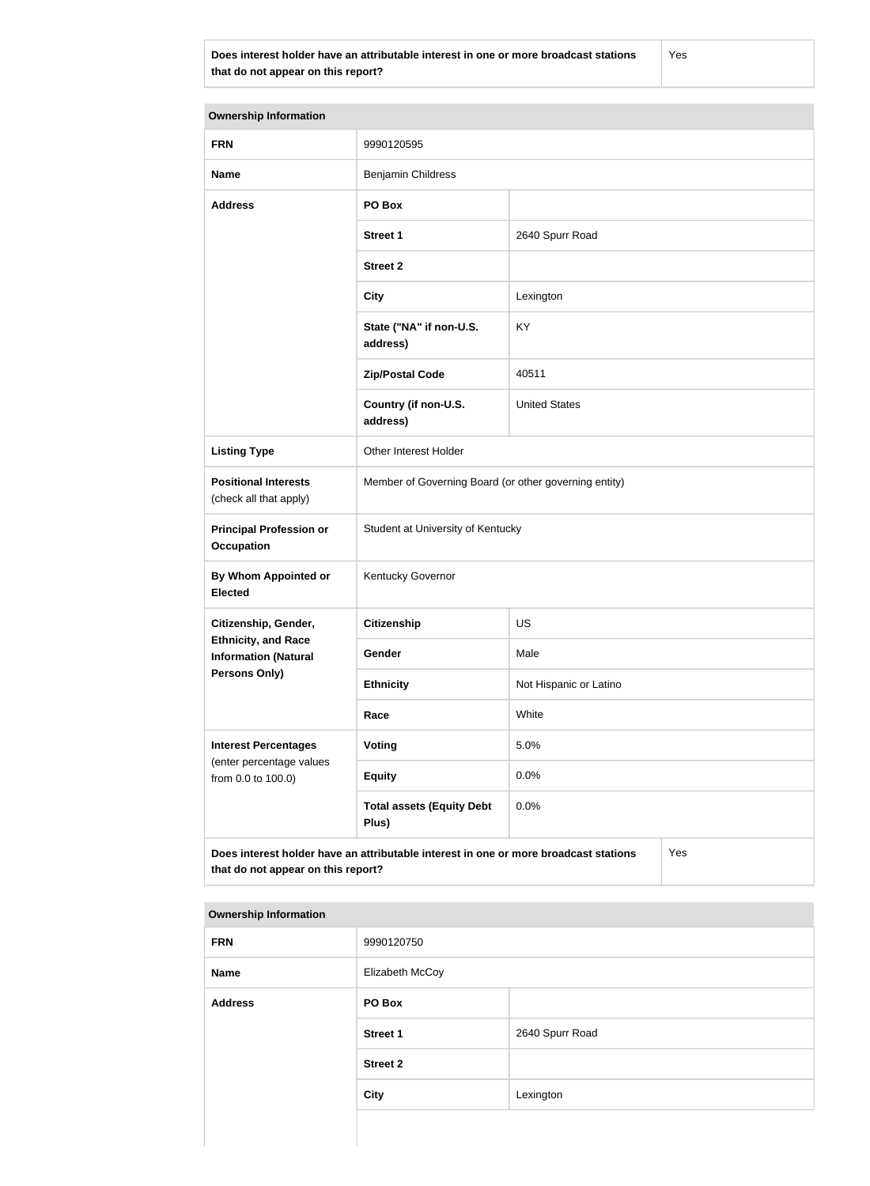**Does interest holder have an attributable interest in one or more broadcast stations that do not appear on this report?**

Yes

**Ownership Information FRN** 9990120595 **Name** Benjamin Childress **Address PO Box Street 1** 2640 Spurr Road **Street 2 City** Lexington **State ("NA" if non-U.S. address)** KY **Zip/Postal Code** 40511 **Country (if non-U.S. address)** United States **Listing Type Cina Communist Communist Property** Other Interest Holder **Positional Interests** (check all that apply) Member of Governing Board (or other governing entity) **Principal Profession or Occupation** Student at University of Kentucky **By Whom Appointed or Elected** Kentucky Governor **Citizenship, Gender, Ethnicity, and Race Information (Natural Persons Only) Citizenship** US Gender Male **Ethnicity** Not Hispanic or Latino **Race** White **Interest Percentages** (enter percentage values from 0.0 to 100.0) **Voting** 5.0% **Equity** 0.0% **Total assets (Equity Debt Plus)** 0.0% **Does interest holder have an attributable interest in one or more broadcast stations that do not appear on this report?** Yes

| <b>FRN</b>     | 9990120750      |                 |
|----------------|-----------------|-----------------|
| <b>Name</b>    | Elizabeth McCoy |                 |
| <b>Address</b> | PO Box          |                 |
|                | <b>Street 1</b> | 2640 Spurr Road |
|                | <b>Street 2</b> |                 |
|                | <b>City</b>     | Lexington       |
|                |                 |                 |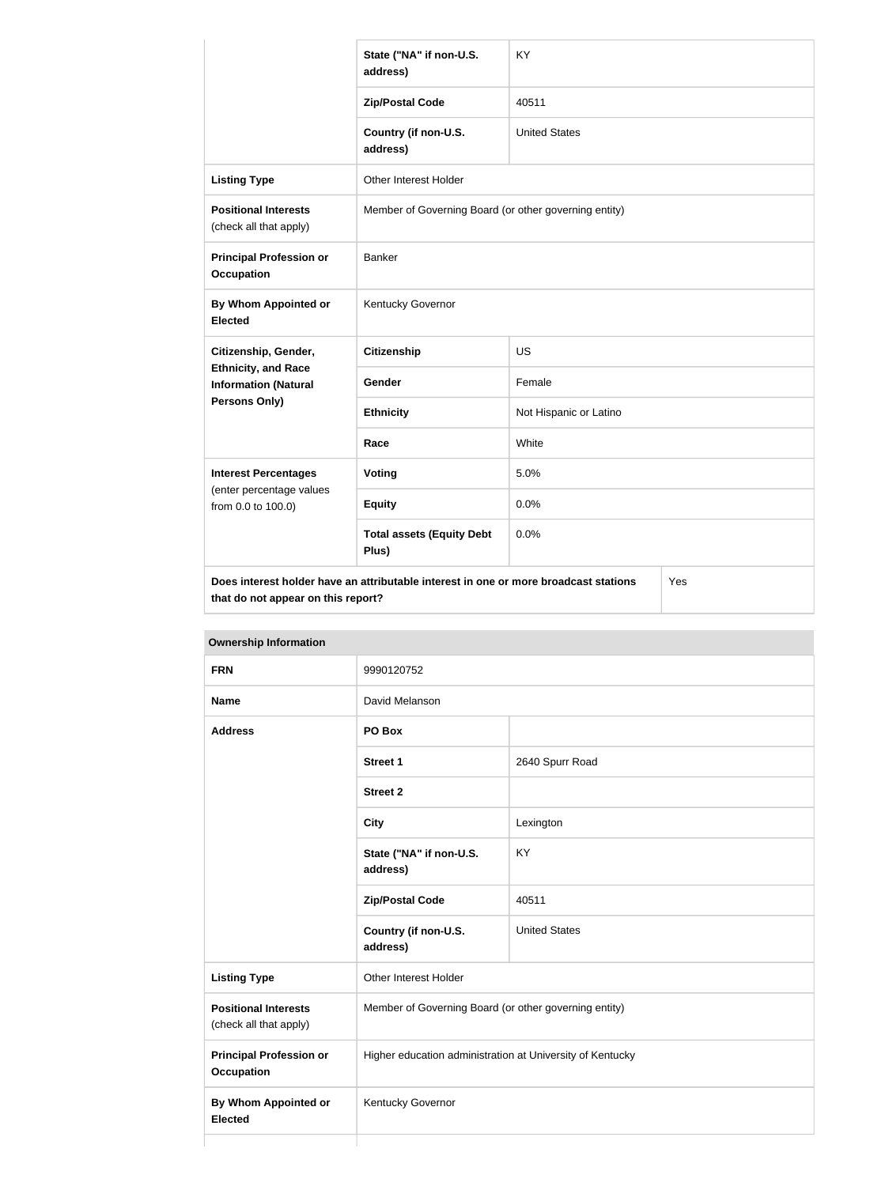|                                                                                                                                   | State ("NA" if non-U.S.<br>address)                   | <b>KY</b>              |  |
|-----------------------------------------------------------------------------------------------------------------------------------|-------------------------------------------------------|------------------------|--|
|                                                                                                                                   | <b>Zip/Postal Code</b>                                | 40511                  |  |
|                                                                                                                                   | Country (if non-U.S.<br>address)                      | <b>United States</b>   |  |
| <b>Listing Type</b>                                                                                                               | Other Interest Holder                                 |                        |  |
| <b>Positional Interests</b><br>(check all that apply)                                                                             | Member of Governing Board (or other governing entity) |                        |  |
| <b>Principal Profession or</b><br><b>Occupation</b>                                                                               | <b>Banker</b>                                         |                        |  |
| <b>By Whom Appointed or</b><br><b>Elected</b>                                                                                     | Kentucky Governor                                     |                        |  |
| Citizenship, Gender,                                                                                                              | <b>Citizenship</b>                                    | US                     |  |
| <b>Ethnicity, and Race</b><br><b>Information (Natural</b>                                                                         | <b>Gender</b>                                         | Female                 |  |
| Persons Only)                                                                                                                     | <b>Ethnicity</b>                                      | Not Hispanic or Latino |  |
|                                                                                                                                   | Race                                                  | White                  |  |
| <b>Interest Percentages</b>                                                                                                       | Voting                                                | 5.0%                   |  |
| (enter percentage values<br>from 0.0 to 100.0)                                                                                    | <b>Equity</b>                                         | 0.0%                   |  |
|                                                                                                                                   | <b>Total assets (Equity Debt</b><br>Plus)             | 0.0%                   |  |
| Does interest holder have an attributable interest in one or more broadcast stations<br>Yes<br>that do not appear on this report? |                                                       |                        |  |

| <b>Ownership Information</b>                          |                                                           |                      |
|-------------------------------------------------------|-----------------------------------------------------------|----------------------|
| <b>FRN</b>                                            | 9990120752                                                |                      |
| <b>Name</b>                                           | David Melanson                                            |                      |
| <b>Address</b>                                        | PO Box                                                    |                      |
|                                                       | <b>Street 1</b>                                           | 2640 Spurr Road      |
|                                                       | <b>Street 2</b>                                           |                      |
|                                                       | <b>City</b>                                               | Lexington            |
|                                                       | State ("NA" if non-U.S.<br>address)                       | KY                   |
|                                                       | <b>Zip/Postal Code</b>                                    | 40511                |
|                                                       | Country (if non-U.S.<br>address)                          | <b>United States</b> |
| <b>Listing Type</b>                                   | Other Interest Holder                                     |                      |
| <b>Positional Interests</b><br>(check all that apply) | Member of Governing Board (or other governing entity)     |                      |
| <b>Principal Profession or</b><br><b>Occupation</b>   | Higher education administration at University of Kentucky |                      |
| <b>By Whom Appointed or</b><br><b>Elected</b>         | Kentucky Governor                                         |                      |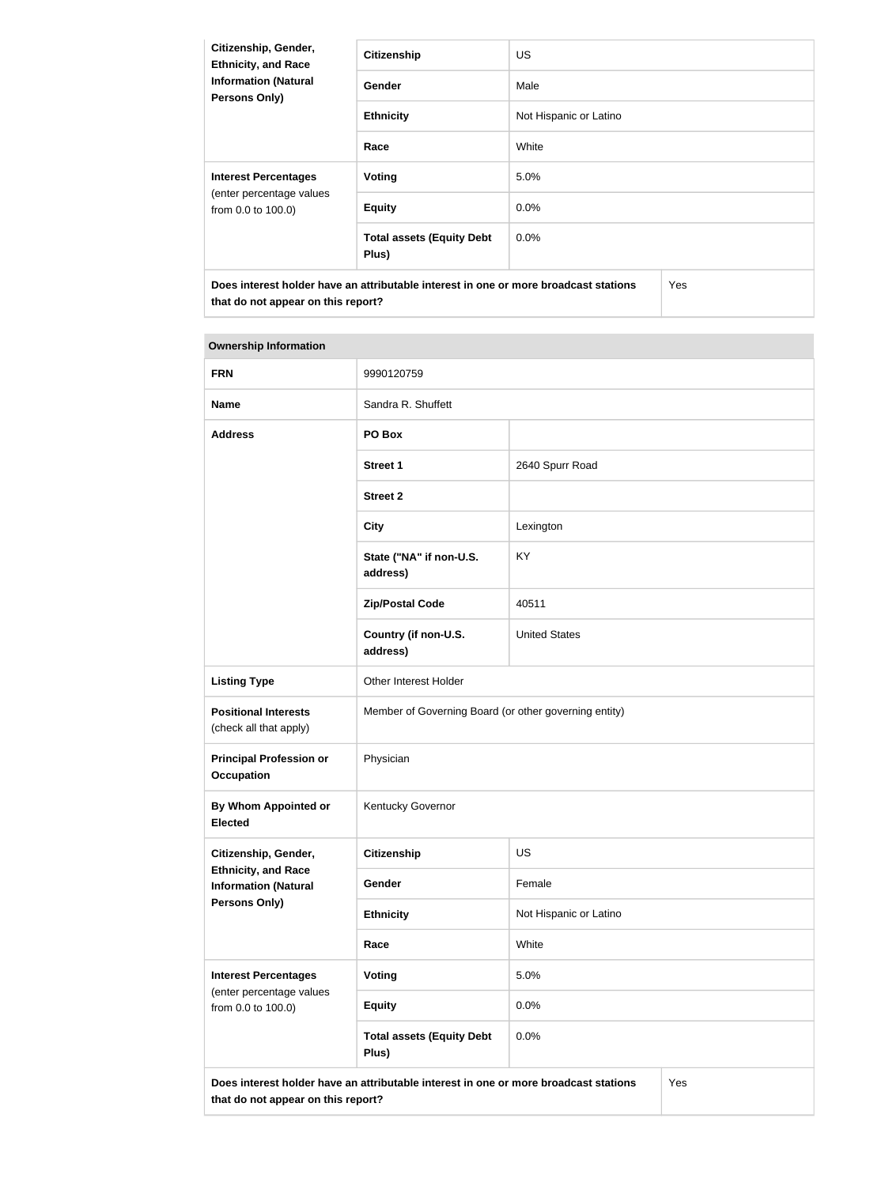| Citizenship, Gender,<br><b>Ethnicity, and Race</b><br><b>Information (Natural</b><br><b>Persons Only)</b> | <b>Citizenship</b>                        | <b>US</b>              |  |  |
|-----------------------------------------------------------------------------------------------------------|-------------------------------------------|------------------------|--|--|
|                                                                                                           | Gender                                    | Male                   |  |  |
|                                                                                                           | <b>Ethnicity</b>                          | Not Hispanic or Latino |  |  |
|                                                                                                           | Race                                      | White                  |  |  |
| <b>Interest Percentages</b><br>(enter percentage values<br>from 0.0 to 100.0)                             | Voting                                    | 5.0%                   |  |  |
|                                                                                                           | <b>Equity</b>                             | $0.0\%$                |  |  |
|                                                                                                           | <b>Total assets (Equity Debt</b><br>Plus) | $0.0\%$                |  |  |
| Does interest holder have an attributable interest in one or more broadcast stations                      |                                           | <b>Yes</b>             |  |  |

| <b>FRN</b>                                                                                                                        | 9990120759                                            |                        |  |
|-----------------------------------------------------------------------------------------------------------------------------------|-------------------------------------------------------|------------------------|--|
| <b>Name</b>                                                                                                                       | Sandra R. Shuffett                                    |                        |  |
| <b>Address</b>                                                                                                                    | PO Box                                                |                        |  |
|                                                                                                                                   | <b>Street 1</b>                                       | 2640 Spurr Road        |  |
|                                                                                                                                   | <b>Street 2</b>                                       |                        |  |
|                                                                                                                                   | <b>City</b>                                           | Lexington              |  |
|                                                                                                                                   | State ("NA" if non-U.S.<br>address)                   | KY.                    |  |
|                                                                                                                                   | <b>Zip/Postal Code</b>                                | 40511                  |  |
|                                                                                                                                   | Country (if non-U.S.<br>address)                      | <b>United States</b>   |  |
| <b>Listing Type</b>                                                                                                               | Other Interest Holder                                 |                        |  |
| <b>Positional Interests</b><br>(check all that apply)                                                                             | Member of Governing Board (or other governing entity) |                        |  |
| <b>Principal Profession or</b><br><b>Occupation</b>                                                                               | Physician                                             |                        |  |
| By Whom Appointed or<br><b>Elected</b>                                                                                            | Kentucky Governor                                     |                        |  |
| Citizenship, Gender,                                                                                                              | <b>Citizenship</b>                                    | <b>US</b>              |  |
| <b>Ethnicity, and Race</b><br><b>Information (Natural</b>                                                                         | Gender                                                | Female                 |  |
| <b>Persons Only)</b>                                                                                                              | <b>Ethnicity</b>                                      | Not Hispanic or Latino |  |
|                                                                                                                                   | Race                                                  | White                  |  |
| <b>Interest Percentages</b><br>(enter percentage values                                                                           | <b>Voting</b>                                         | 5.0%                   |  |
| from 0.0 to 100.0)                                                                                                                | <b>Equity</b>                                         | 0.0%                   |  |
|                                                                                                                                   | <b>Total assets (Equity Debt</b><br>Plus)             | 0.0%                   |  |
| Does interest holder have an attributable interest in one or more broadcast stations<br>Yes<br>that do not appear on this report? |                                                       |                        |  |